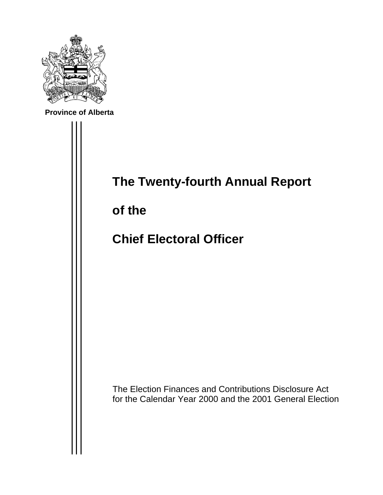

**Province of Alberta**

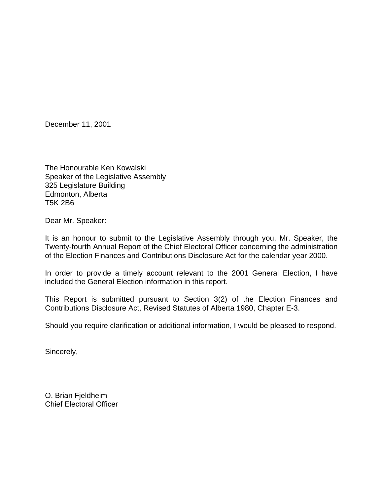December 11, 2001

The Honourable Ken Kowalski Speaker of the Legislative Assembly 325 Legislature Building Edmonton, Alberta T5K 2B6

Dear Mr. Speaker:

It is an honour to submit to the Legislative Assembly through you, Mr. Speaker, the Twenty-fourth Annual Report of the Chief Electoral Officer concerning the administration of the Election Finances and Contributions Disclosure Act for the calendar year 2000.

In order to provide a timely account relevant to the 2001 General Election, I have included the General Election information in this report.

This Report is submitted pursuant to Section 3(2) of the Election Finances and Contributions Disclosure Act, Revised Statutes of Alberta 1980, Chapter E-3.

Should you require clarification or additional information, I would be pleased to respond.

Sincerely,

O. Brian Fjeldheim Chief Electoral Officer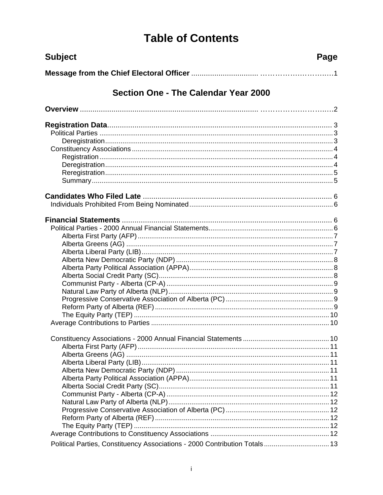# **Table of Contents**

| <b>Subject</b>                                                             | Page |
|----------------------------------------------------------------------------|------|
|                                                                            |      |
| Section One - The Calendar Year 2000                                       |      |
|                                                                            |      |
|                                                                            |      |
|                                                                            |      |
|                                                                            |      |
|                                                                            |      |
|                                                                            |      |
|                                                                            |      |
|                                                                            |      |
|                                                                            |      |
|                                                                            |      |
|                                                                            |      |
|                                                                            |      |
|                                                                            |      |
|                                                                            |      |
|                                                                            |      |
|                                                                            |      |
|                                                                            |      |
|                                                                            |      |
|                                                                            |      |
|                                                                            |      |
|                                                                            |      |
|                                                                            |      |
|                                                                            |      |
|                                                                            |      |
|                                                                            |      |
|                                                                            |      |
|                                                                            |      |
|                                                                            |      |
|                                                                            |      |
|                                                                            |      |
|                                                                            |      |
|                                                                            |      |
|                                                                            |      |
|                                                                            |      |
|                                                                            |      |
|                                                                            |      |
|                                                                            |      |
|                                                                            |      |
| Political Parties, Constituency Associations - 2000 Contribution Totals 13 |      |
|                                                                            |      |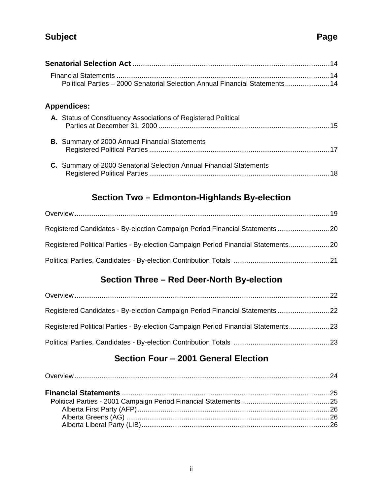## **Subject Page**

| Political Parties - 2000 Senatorial Selection Annual Financial Statements 14 |  |
|------------------------------------------------------------------------------|--|
| <b>Appendices:</b>                                                           |  |
| A. Status of Constituency Associations of Registered Political               |  |
|                                                                              |  |
| <b>B.</b> Summary of 2000 Annual Financial Statements                        |  |
|                                                                              |  |
| C. Summary of 2000 Senatorial Selection Annual Financial Statements          |  |
|                                                                              |  |
|                                                                              |  |

## **Section Two – Edmonton-Highlands By-election**

| Registered Candidates - By-election Campaign Period Financial Statements 20        |  |
|------------------------------------------------------------------------------------|--|
| Registered Political Parties - By-election Campaign Period Financial Statements 20 |  |
|                                                                                    |  |

## **Section Three – Red Deer-North By-election**

| Registered Candidates - By-election Campaign Period Financial Statements  22       |  |
|------------------------------------------------------------------------------------|--|
| Registered Political Parties - By-election Campaign Period Financial Statements 23 |  |
|                                                                                    |  |

## **Section Four – 2001 General Election**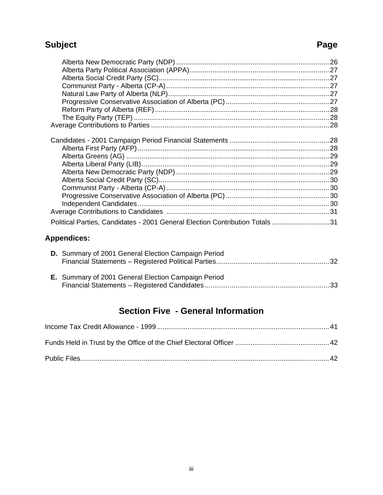## **Subject** Page

|                                                                               | 28 |
|-------------------------------------------------------------------------------|----|
|                                                                               |    |
|                                                                               |    |
|                                                                               |    |
|                                                                               |    |
|                                                                               |    |
|                                                                               |    |
|                                                                               |    |
|                                                                               |    |
| Political Parties, Candidates - 2001 General Election Contribution Totals  31 |    |
|                                                                               |    |

## **Appendices:**

| D. Summary of 2001 General Election Campaign Period |  |
|-----------------------------------------------------|--|
| E. Summary of 2001 General Election Campaign Period |  |

## **Section Five - General Information**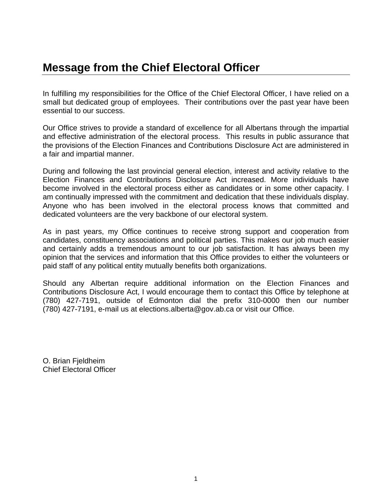## **Message from the Chief Electoral Officer**

In fulfilling my responsibilities for the Office of the Chief Electoral Officer, I have relied on a small but dedicated group of employees. Their contributions over the past year have been essential to our success.

Our Office strives to provide a standard of excellence for all Albertans through the impartial and effective administration of the electoral process. This results in public assurance that the provisions of the Election Finances and Contributions Disclosure Act are administered in a fair and impartial manner.

During and following the last provincial general election, interest and activity relative to the Election Finances and Contributions Disclosure Act increased. More individuals have become involved in the electoral process either as candidates or in some other capacity. I am continually impressed with the commitment and dedication that these individuals display. Anyone who has been involved in the electoral process knows that committed and dedicated volunteers are the very backbone of our electoral system.

As in past years, my Office continues to receive strong support and cooperation from candidates, constituency associations and political parties. This makes our job much easier and certainly adds a tremendous amount to our job satisfaction. It has always been my opinion that the services and information that this Office provides to either the volunteers or paid staff of any political entity mutually benefits both organizations.

Should any Albertan require additional information on the Election Finances and Contributions Disclosure Act, I would encourage them to contact this Office by telephone at (780) 427-7191, outside of Edmonton dial the prefix 310-0000 then our number (780) 427-7191, e-mail us at elections.alberta@gov.ab.ca or visit our Office.

O. Brian Fjeldheim Chief Electoral Officer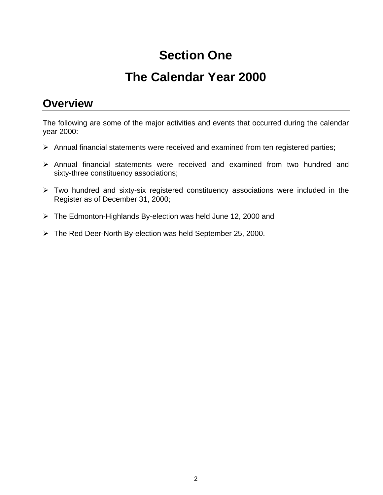# **Section One**

# **The Calendar Year 2000**

## **Overview**

The following are some of the major activities and events that occurred during the calendar year 2000:

- $\triangleright$  Annual financial statements were received and examined from ten registered parties;
- $\triangleright$  Annual financial statements were received and examined from two hundred and sixty-three constituency associations;
- $\triangleright$  Two hundred and sixty-six registered constituency associations were included in the Register as of December 31, 2000;
- $\triangleright$  The Edmonton-Highlands By-election was held June 12, 2000 and
- $\triangleright$  The Red Deer-North By-election was held September 25, 2000.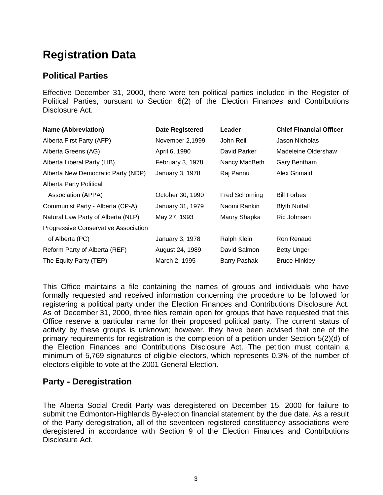## **Registration Data**

### **Political Parties**

Effective December 31, 2000, there were ten political parties included in the Register of Political Parties, pursuant to Section 6(2) of the Election Finances and Contributions Disclosure Act.

| <b>Name (Abbreviation)</b>           | <b>Date Registered</b> | Leader                | <b>Chief Financial Officer</b> |
|--------------------------------------|------------------------|-----------------------|--------------------------------|
| Alberta First Party (AFP)            | November 2,1999        | John Reil             | Jason Nicholas                 |
| Alberta Greens (AG)                  | April 6, 1990          | David Parker          | Madeleine Oldershaw            |
| Alberta Liberal Party (LIB)          | February 3, 1978       | Nancy MacBeth         | Gary Bentham                   |
| Alberta New Democratic Party (NDP)   | January 3, 1978        | Raj Pannu             | Alex Grimaldi                  |
| <b>Alberta Party Political</b>       |                        |                       |                                |
| Association (APPA)                   | October 30, 1990       | <b>Fred Schorning</b> | <b>Bill Forbes</b>             |
| Communist Party - Alberta (CP-A)     | January 31, 1979       | Naomi Rankin          | <b>Blyth Nuttall</b>           |
| Natural Law Party of Alberta (NLP)   | May 27, 1993           | Maury Shapka          | Ric Johnsen                    |
| Progressive Conservative Association |                        |                       |                                |
| of Alberta (PC)                      | January 3, 1978        | Ralph Klein           | Ron Renaud                     |
| Reform Party of Alberta (REF)        | August 24, 1989        | David Salmon          | <b>Betty Unger</b>             |
| The Equity Party (TEP)               | March 2, 1995          | <b>Barry Pashak</b>   | <b>Bruce Hinkley</b>           |

This Office maintains a file containing the names of groups and individuals who have formally requested and received information concerning the procedure to be followed for registering a political party under the Election Finances and Contributions Disclosure Act. As of December 31, 2000, three files remain open for groups that have requested that this Office reserve a particular name for their proposed political party. The current status of activity by these groups is unknown; however, they have been advised that one of the primary requirements for registration is the completion of a petition under Section 5(2)(d) of the Election Finances and Contributions Disclosure Act. The petition must contain a minimum of 5,769 signatures of eligible electors, which represents 0.3% of the number of electors eligible to vote at the 2001 General Election.

### **Party - Deregistration**

The Alberta Social Credit Party was deregistered on December 15, 2000 for failure to submit the Edmonton-Highlands By-election financial statement by the due date. As a result of the Party deregistration, all of the seventeen registered constituency associations were deregistered in accordance with Section 9 of the Election Finances and Contributions Disclosure Act.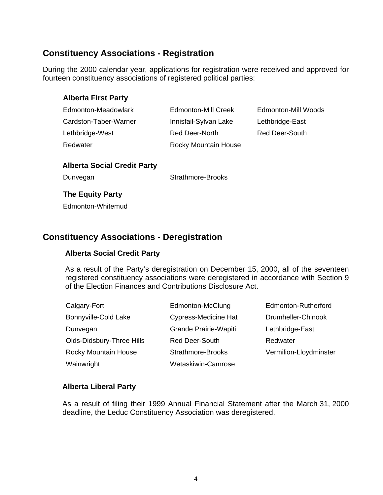### **Constituency Associations - Registration**

During the 2000 calendar year, applications for registration were received and approved for fourteen constituency associations of registered political parties:

#### **Alberta First Party**

| Edmonton-Meadowlark   |
|-----------------------|
| Cardston-Taber-Warner |
| Lethbridge-West       |
| Redwater              |

Innisfail-Sylvan Lake Lethbridge-East Red Deer-North Red Deer-South Rocky Mountain House

Edmonton-Mill Creek Edmonton-Mill Woods

#### **Alberta Social Credit Party**

Dunvegan Strathmore-Brooks

#### **The Equity Party**

Edmonton-Whitemud

### **Constituency Associations - Deregistration**

#### **Alberta Social Credit Party**

As a result of the Party's deregistration on December 15, 2000, all of the seventeen registered constituency associations were deregistered in accordance with Section 9 of the Election Finances and Contributions Disclosure Act.

| Calgary-Fort                | Edmonton-McClung            | Edmonton-Rutherford    |
|-----------------------------|-----------------------------|------------------------|
| Bonnyville-Cold Lake        | <b>Cypress-Medicine Hat</b> | Drumheller-Chinook     |
| Dunvegan                    | Grande Prairie-Wapiti       | Lethbridge-East        |
| Olds-Didsbury-Three Hills   | <b>Red Deer-South</b>       | Redwater               |
| <b>Rocky Mountain House</b> | Strathmore-Brooks           | Vermilion-Lloydminster |
| Wainwright                  | Wetaskiwin-Camrose          |                        |

#### **Alberta Liberal Party**

As a result of filing their 1999 Annual Financial Statement after the March 31, 2000 deadline, the Leduc Constituency Association was deregistered.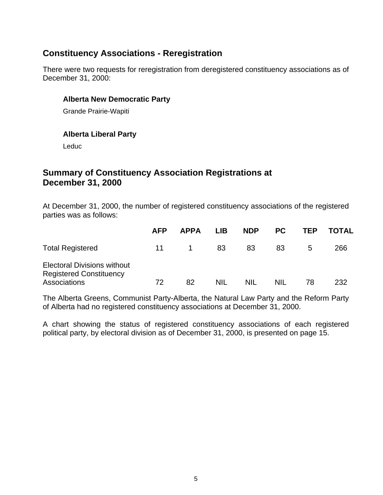### **Constituency Associations - Reregistration**

There were two requests for reregistration from deregistered constituency associations as of December 31, 2000:

#### **Alberta New Democratic Party**

Grande Prairie-Wapiti

#### **Alberta Liberal Party**

Leduc

### **Summary of Constituency Association Registrations at December 31, 2000**

At December 31, 2000, the number of registered constituency associations of the registered parties was as follows:

|                                                                                      | <b>AFP</b> | <b>APPA</b> | <b>LIB</b> | <b>NDP</b> | <b>PC</b>  | TEP | <b>TOTAL</b> |
|--------------------------------------------------------------------------------------|------------|-------------|------------|------------|------------|-----|--------------|
| <b>Total Registered</b>                                                              | 11         |             | 83         | 83         | 83         | 5   | 266          |
| <b>Electoral Divisions without</b><br><b>Registered Constituency</b><br>Associations | 72         | 82          | <b>NIL</b> | NIL        | <b>NIL</b> | 78  | 232          |

The Alberta Greens, Communist Party-Alberta, the Natural Law Party and the Reform Party of Alberta had no registered constituency associations at December 31, 2000.

A chart showing the status of registered constituency associations of each registered political party, by electoral division as of December 31, 2000, is presented on page 15.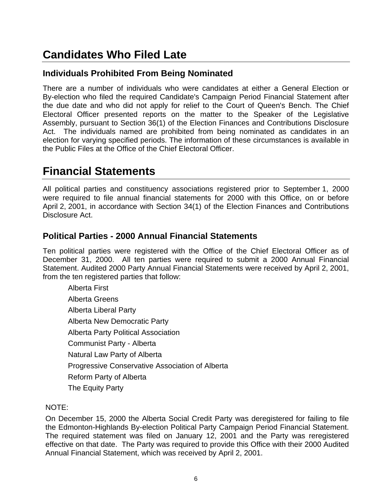## **Candidates Who Filed Late**

## **Individuals Prohibited From Being Nominated**

There are a number of individuals who were candidates at either a General Election or By-election who filed the required Candidate's Campaign Period Financial Statement after the due date and who did not apply for relief to the Court of Queen's Bench. The Chief Electoral Officer presented reports on the matter to the Speaker of the Legislative Assembly, pursuant to Section 36(1) of the Election Finances and Contributions Disclosure Act. The individuals named are prohibited from being nominated as candidates in an election for varying specified periods. The information of these circumstances is available in the Public Files at the Office of the Chief Electoral Officer.

## **Financial Statements**

All political parties and constituency associations registered prior to September 1, 2000 were required to file annual financial statements for 2000 with this Office, on or before April 2, 2001, in accordance with Section 34(1) of the Election Finances and Contributions Disclosure Act.

### **Political Parties - 2000 Annual Financial Statements**

Ten political parties were registered with the Office of the Chief Electoral Officer as of December 31, 2000. All ten parties were required to submit a 2000 Annual Financial Statement. Audited 2000 Party Annual Financial Statements were received by April 2, 2001, from the ten registered parties that follow:

Alberta First Alberta Greens Alberta Liberal Party Alberta New Democratic Party Alberta Party Political Association Communist Party - Alberta Natural Law Party of Alberta Progressive Conservative Association of Alberta Reform Party of Alberta The Equity Party

#### NOTE:

On December 15, 2000 the Alberta Social Credit Party was deregistered for failing to file the Edmonton-Highlands By-election Political Party Campaign Period Financial Statement. The required statement was filed on January 12, 2001 and the Party was reregistered effective on that date. The Party was required to provide this Office with their 2000 Audited Annual Financial Statement, which was received by April 2, 2001.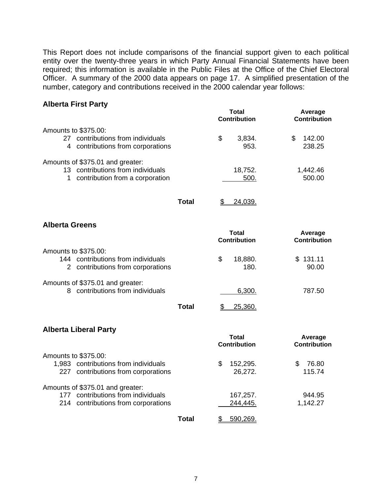This Report does not include comparisons of the financial support given to each political entity over the twenty-three years in which Party Annual Financial Statements have been required; this information is available in the Public Files at the Office of the Chief Electoral Officer. A summary of the 2000 data appears on page 17. A simplified presentation of the number, category and contributions received in the 2000 calendar year follows:

#### **Alberta First Party**

| Total<br><b>Contribution</b> | Average<br><b>Contribution</b> |
|------------------------------|--------------------------------|
|                              |                                |
| S<br>3,834.                  | 142.00                         |
| 953.                         | 238.25                         |
|                              |                                |
| 18,752.                      | 1,442.46                       |
| 500.                         | 500.00                         |
|                              |                                |
|                              |                                |

**Total** \$ 24,039.

#### **Alberta Greens**

|                                                                         | Total<br><b>Contribution</b> |                 | Average<br><b>Contribution</b> |  |
|-------------------------------------------------------------------------|------------------------------|-----------------|--------------------------------|--|
| Amounts to \$375.00:                                                    |                              |                 |                                |  |
| 144 contributions from individuals<br>2 contributions from corporations | \$.                          | 18,880.<br>180. | \$131.11<br>90.00              |  |
| Amounts of \$375.01 and greater:<br>contributions from individuals      |                              | 6,300.          | 787.50                         |  |
| Total                                                                   |                              | 25,360.         |                                |  |

#### **Alberta Liberal Party**

|                                        | Total<br><b>Contribution</b> | Average<br><b>Contribution</b> |  |
|----------------------------------------|------------------------------|--------------------------------|--|
| Amounts to \$375.00:                   |                              |                                |  |
| 1,983 contributions from individuals   | 152,295.<br>S                | 76.80<br>S                     |  |
| contributions from corporations<br>227 | 26,272.                      | 115.74                         |  |
| Amounts of \$375.01 and greater:       |                              |                                |  |
| contributions from individuals<br>177  | 167,257.                     | 944.95                         |  |
| 214 contributions from corporations    | 244,445.                     | 1,142.27                       |  |
| Total                                  | 590.269                      |                                |  |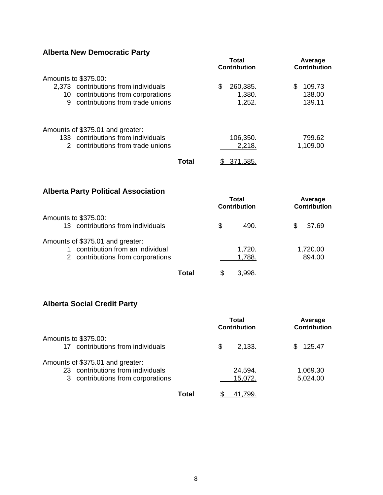## **Alberta New Democratic Party**

| AING ROW DOITOGRATO F GITY                                                                                                                 |              | <b>Total</b><br><b>Contribution</b>  | Average<br><b>Contribution</b>   |
|--------------------------------------------------------------------------------------------------------------------------------------------|--------------|--------------------------------------|----------------------------------|
| Amounts to \$375.00:<br>2,373 contributions from individuals<br>10 contributions from corporations<br>contributions from trade unions<br>9 |              | \$<br>260,385.<br>1,380.<br>1,252.   | \$<br>109.73<br>138.00<br>139.11 |
| Amounts of \$375.01 and greater:<br>133 contributions from individuals<br>2 contributions from trade unions                                | <b>Total</b> | 106,350.<br>2,218.<br>371,585.<br>\$ | 799.62<br>1,109.00               |
| <b>Alberta Party Political Association</b>                                                                                                 |              | <b>Total</b><br><b>Contribution</b>  | Average<br><b>Contribution</b>   |
| Amounts to \$375.00:<br>13 contributions from individuals                                                                                  |              | \$<br>490.                           | \$<br>37.69                      |
| Amounts of \$375.01 and greater:<br>contribution from an individual<br>1<br>2 contributions from corporations                              |              | 1,720.<br>1,788.                     | 1,720.00<br>894.00               |
|                                                                                                                                            | <b>Total</b> | 3,998.<br>\$                         |                                  |

## **Alberta Social Credit Party**

|                                                                                                            | Total<br><b>Contribution</b> | Average<br><b>Contribution</b> |  |
|------------------------------------------------------------------------------------------------------------|------------------------------|--------------------------------|--|
| Amounts to \$375.00:<br>contributions from individuals<br>17                                               | \$<br>2,133.                 | 125.47<br>S.                   |  |
| Amounts of \$375.01 and greater:<br>23 contributions from individuals<br>3 contributions from corporations | 24,594.<br>15,072.           | 1,069.30<br>5,024.00           |  |
| Total                                                                                                      | 41.799                       |                                |  |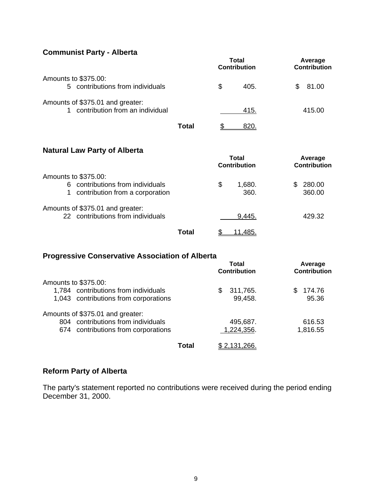#### **Communist Party - Alberta**

|                                                                     |       | Total<br><b>Contribution</b> |      | Average<br><b>Contribution</b> |  |
|---------------------------------------------------------------------|-------|------------------------------|------|--------------------------------|--|
| Amounts to \$375.00:<br>5 contributions from individuals            |       | \$                           | 405. | 81.00<br>S.                    |  |
| Amounts of \$375.01 and greater:<br>contribution from an individual |       |                              | 415. | 415.00                         |  |
|                                                                     | Total |                              |      |                                |  |

#### **Natural Law Party of Alberta**

| <b>Natural Law Failty Of Alberta</b>                                    | Total<br><b>Contribution</b> | Average<br><b>Contribution</b> |
|-------------------------------------------------------------------------|------------------------------|--------------------------------|
| Amounts to \$375.00:                                                    |                              |                                |
| contributions from individuals<br>6.<br>contribution from a corporation | \$<br>1,680.<br>360.         | 280.00<br>S<br>360.00          |
| Amounts of \$375.01 and greater:<br>22 contributions from individuals   | 9,445.                       | 429.32                         |
| Total                                                                   | 11.485.                      |                                |

### **Progressive Conservative Association of Alberta**

|                                       | Total<br><b>Contribution</b> | Average<br><b>Contribution</b> |  |
|---------------------------------------|------------------------------|--------------------------------|--|
| Amounts to \$375.00:                  |                              |                                |  |
| 1,784 contributions from individuals  | 311,765.<br>S                | 174.76                         |  |
| 1,043 contributions from corporations | 99,458.                      | 95.36                          |  |
| Amounts of \$375.01 and greater:      |                              |                                |  |
| 804 contributions from individuals    | 495,687.                     | 616.53                         |  |
| 674 contributions from corporations   | 1,224,356.                   | 1,816.55                       |  |
| Total                                 | <u>\$2,131,266.</u>          |                                |  |

#### **Reform Party of Alberta**

The party's statement reported no contributions were received during the period ending December 31, 2000.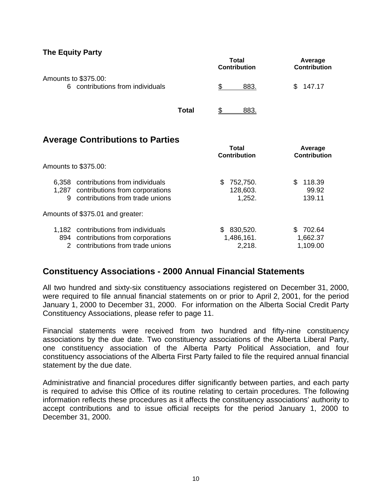#### **The Equity Party**

|                                                          |       |      | Total<br><b>Contribution</b> | Average<br>Contribution |
|----------------------------------------------------------|-------|------|------------------------------|-------------------------|
| Amounts to \$375.00:<br>6 contributions from individuals |       | 883. |                              | 147.17<br>S.            |
|                                                          | Total |      | 883.                         |                         |

### **Average Contributions to Parties**

|              |                                                                                                            | Total<br><b>Contribution</b>          | Average<br><b>Contribution</b>      |  |
|--------------|------------------------------------------------------------------------------------------------------------|---------------------------------------|-------------------------------------|--|
|              | Amounts to \$375.00:                                                                                       |                                       |                                     |  |
| 6.358<br>9   | contributions from individuals<br>1,287 contributions from corporations<br>contributions from trade unions | 752,750.<br>S<br>128,603.<br>1,252.   | 118.39<br>\$.<br>99.92<br>139.11    |  |
|              | Amounts of \$375.01 and greater:                                                                           |                                       |                                     |  |
| 1.182<br>894 | contributions from individuals<br>contributions from corporations<br>contributions from trade unions       | 830,520.<br>S<br>1,486,161.<br>2,218. | 702.64<br>S<br>1,662.37<br>1,109.00 |  |

## **Constituency Associations - 2000 Annual Financial Statements**

All two hundred and sixty-six constituency associations registered on December 31, 2000, were required to file annual financial statements on or prior to April 2, 2001, for the period January 1, 2000 to December 31, 2000. For information on the Alberta Social Credit Party Constituency Associations, please refer to page 11.

Financial statements were received from two hundred and fifty-nine constituency associations by the due date. Two constituency associations of the Alberta Liberal Party, one constituency association of the Alberta Party Political Association, and four constituency associations of the Alberta First Party failed to file the required annual financial statement by the due date.

Administrative and financial procedures differ significantly between parties, and each party is required to advise this Office of its routine relating to certain procedures. The following information reflects these procedures as it affects the constituency associations' authority to accept contributions and to issue official receipts for the period January 1, 2000 to December 31, 2000.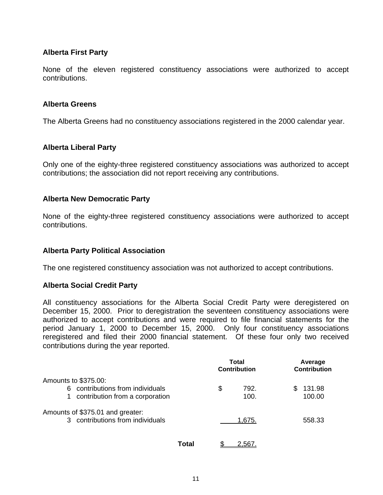#### **Alberta First Party**

None of the eleven registered constituency associations were authorized to accept contributions.

#### **Alberta Greens**

The Alberta Greens had no constituency associations registered in the 2000 calendar year.

#### **Alberta Liberal Party**

Only one of the eighty-three registered constituency associations was authorized to accept contributions; the association did not report receiving any contributions.

#### **Alberta New Democratic Party**

None of the eighty-three registered constituency associations were authorized to accept contributions.

#### **Alberta Party Political Association**

The one registered constituency association was not authorized to accept contributions.

#### **Alberta Social Credit Party**

All constituency associations for the Alberta Social Credit Party were deregistered on December 15, 2000. Prior to deregistration the seventeen constituency associations were authorized to accept contributions and were required to file financial statements for the period January 1, 2000 to December 15, 2000. Only four constituency associations reregistered and filed their 2000 financial statement. Of these four only two received contributions during the year reported.

|                                      | Total<br><b>Contribution</b> | Average<br>Contribution |
|--------------------------------------|------------------------------|-------------------------|
| Amounts to \$375.00:                 |                              |                         |
| contributions from individuals<br>6. | \$<br>792.                   | 131.98<br>\$            |
| contribution from a corporation      | 100.                         | 100.00                  |
| Amounts of \$375.01 and greater:     |                              |                         |
| 3 contributions from individuals     | 1.675.                       | 558.33                  |
|                                      |                              |                         |
|                                      |                              |                         |

**Total** \$ 2,567.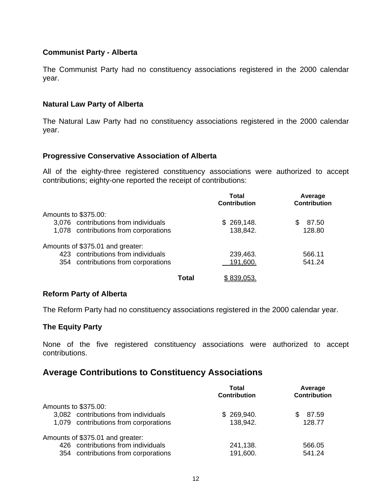#### **Communist Party - Alberta**

The Communist Party had no constituency associations registered in the 2000 calendar year.

#### **Natural Law Party of Alberta**

The Natural Law Party had no constituency associations registered in the 2000 calendar year.

#### **Progressive Conservative Association of Alberta**

All of the eighty-three registered constituency associations were authorized to accept contributions; eighty-one reported the receipt of contributions:

|                                       |       | Total<br><b>Contribution</b> | Average<br><b>Contribution</b> |
|---------------------------------------|-------|------------------------------|--------------------------------|
| Amounts to \$375.00:                  |       |                              |                                |
| 3,076 contributions from individuals  |       | \$269,148.                   | 87.50<br>\$.                   |
| 1,078 contributions from corporations |       | 138,842.                     | 128.80                         |
| Amounts of \$375.01 and greater:      |       |                              |                                |
| 423 contributions from individuals    |       | 239,463.                     | 566.11                         |
| 354 contributions from corporations   |       | 191,600.                     | 541.24                         |
|                                       | Total | \$839,053                    |                                |

#### **Reform Party of Alberta**

The Reform Party had no constituency associations registered in the 2000 calendar year.

#### **The Equity Party**

None of the five registered constituency associations were authorized to accept contributions.

### **Average Contributions to Constituency Associations**

|                                       | Total               | Average             |
|---------------------------------------|---------------------|---------------------|
|                                       | <b>Contribution</b> | <b>Contribution</b> |
| Amounts to \$375.00:                  |                     |                     |
| 3,082 contributions from individuals  | \$269,940.          | 87.59<br>S.         |
| 1,079 contributions from corporations | 138,942.            | 128.77              |
| Amounts of \$375.01 and greater:      |                     |                     |
| 426 contributions from individuals    | 241,138.            | 566.05              |
| 354 contributions from corporations   | 191,600.            | 541.24              |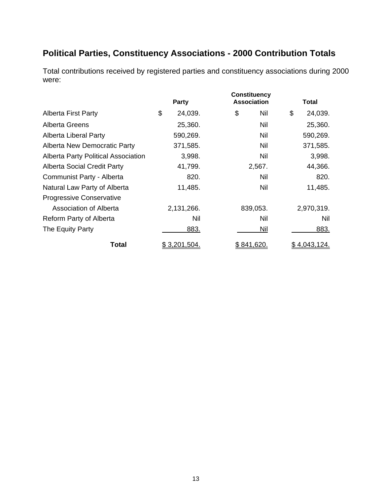## **Political Parties, Constituency Associations - 2000 Contribution Totals**

Total contributions received by registered parties and constituency associations during 2000 were:

|                                            | <b>Party</b>        | <b>Constituency</b><br><b>Association</b> | Total               |
|--------------------------------------------|---------------------|-------------------------------------------|---------------------|
| <b>Alberta First Party</b>                 | \$<br>24,039.       | \$<br>Nil                                 | \$<br>24,039.       |
| Alberta Greens                             | 25,360.             | Nil                                       | 25,360.             |
| Alberta Liberal Party                      | 590,269.            | Nil                                       | 590,269.            |
| Alberta New Democratic Party               | 371,585.            | Nil                                       | 371,585.            |
| <b>Alberta Party Political Association</b> | 3,998.              | Nil                                       | 3,998.              |
| <b>Alberta Social Credit Party</b>         | 41,799.             | 2,567.                                    | 44,366.             |
| Communist Party - Alberta                  | 820.                | Nil                                       | 820.                |
| Natural Law Party of Alberta               | 11,485.             | Nil                                       | 11,485.             |
| <b>Progressive Conservative</b>            |                     |                                           |                     |
| <b>Association of Alberta</b>              | 2,131,266.          | 839,053.                                  | 2,970,319.          |
| Reform Party of Alberta                    | Nil                 | Nil                                       | Nil                 |
| The Equity Party                           | 883.                | Nil                                       | 883.                |
| Total                                      | <u>\$3,201,504.</u> | \$841,620.                                | <u>\$4,043,124.</u> |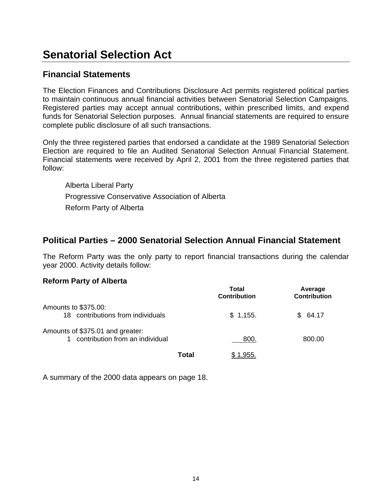## **Senatorial Selection Act**

### **Financial Statements**

The Election Finances and Contributions Disclosure Act permits registered political parties to maintain continuous annual financial activities between Senatorial Selection Campaigns. Registered parties may accept annual contributions, within prescribed limits, and expend funds for Senatorial Selection purposes. Annual financial statements are required to ensure complete public disclosure of all such transactions.

Only the three registered parties that endorsed a candidate at the 1989 Senatorial Selection Election are required to file an Audited Senatorial Selection Annual Financial Statement. Financial statements were received by April 2, 2001 from the three registered parties that follow:

Alberta Liberal Party Progressive Conservative Association of Alberta Reform Party of Alberta

### **Political Parties – 2000 Senatorial Selection Annual Financial Statement**

The Reform Party was the only party to report financial transactions during the calendar year 2000. Activity details follow:

#### **Reform Party of Alberta**

|                                                                     |       | Total<br><b>Contribution</b> | Average<br><b>Contribution</b> |
|---------------------------------------------------------------------|-------|------------------------------|--------------------------------|
| Amounts to \$375.00:<br>18 contributions from individuals           |       | \$1,155.                     | 64.17<br>SS.                   |
| Amounts of \$375.01 and greater:<br>contribution from an individual |       | 800.                         | 800.00                         |
|                                                                     | Total | 1.955.                       |                                |

A summary of the 2000 data appears on page 18.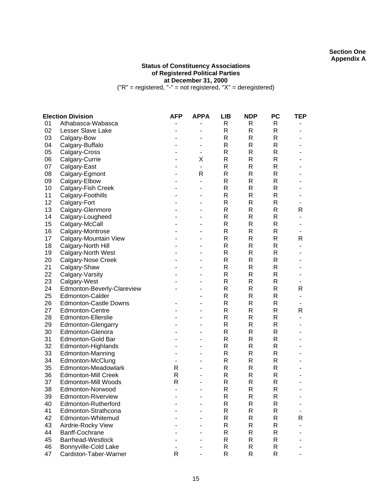#### **Section One Appendix A**

#### **Status of Constituency Associations of Registered Political Parties at December 31, 2000**

("R" = registered, "-" = not registered, "X" = deregistered)

|    | <b>Election Division</b>     | <b>AFP</b>     | <b>APPA</b>              | <b>LIB</b>   | <b>NDP</b>   | <b>PC</b>    | TEP |
|----|------------------------------|----------------|--------------------------|--------------|--------------|--------------|-----|
| 01 | Athabasca-Wabasca            |                |                          | R            | R            | R            |     |
| 02 | Lesser Slave Lake            |                |                          | $\mathsf{R}$ | R            | R            | ۰   |
| 03 | Calgary-Bow                  |                |                          | R            | R            | R            |     |
| 04 | Calgary-Buffalo              |                |                          | $\mathsf{R}$ | R            | R            |     |
| 05 | Calgary-Cross                |                | -                        | $\mathsf{R}$ | R            | $\mathsf R$  |     |
| 06 | Calgary-Currie               |                | Χ                        | $\mathsf{R}$ | R            | $\mathsf R$  |     |
| 07 | Calgary-East                 |                | $\overline{\phantom{a}}$ | $\mathsf{R}$ | R            | R            |     |
| 08 | Calgary-Egmont               |                | $\mathsf{R}$             | $\mathsf{R}$ | R            | R            |     |
| 09 | Calgary-Elbow                |                | ä,                       | R            | R            | R            |     |
| 10 | Calgary-Fish Creek           |                |                          | $\mathsf{R}$ | R            | R            |     |
| 11 | Calgary-Foothills            |                |                          | $\mathsf{R}$ | R            | R            |     |
| 12 | Calgary-Fort                 |                |                          | $\mathsf{R}$ | R            | R            |     |
| 13 | Calgary-Glenmore             |                |                          | $\mathsf{R}$ | R            | $\mathsf{R}$ | R   |
| 14 | Calgary-Lougheed             |                | $\blacksquare$           | $\mathsf{R}$ | R            | R            | ۰   |
| 15 | Calgary-McCall               |                |                          | R            | R            | R            |     |
| 16 | Calgary-Montrose             |                |                          | R            | R            | R            |     |
| 17 | Calgary-Mountain View        |                |                          | $\mathsf{R}$ | R            | R            | R   |
| 18 | Calgary-North Hill           |                |                          | $\mathsf{R}$ | R            | R            |     |
| 19 | Calgary-North West           |                |                          | $\mathsf{R}$ | R            | R            |     |
| 20 | Calgary-Nose Creek           |                |                          | $\mathsf{R}$ | R            | R            |     |
| 21 | Calgary-Shaw                 |                |                          | R            | R            | R            |     |
| 22 | Calgary-Varsity              |                |                          | R            | R            | R            |     |
| 23 | Calgary-West                 |                |                          | $\mathsf{R}$ | R            | R            |     |
| 24 | Edmonton-Beverly-Clareview   |                |                          | $\mathsf{R}$ | R            | R            | R   |
| 25 | Edmonton-Calder              |                |                          | $\mathsf{R}$ | R            | $\mathsf{R}$ | -   |
| 26 | <b>Edmonton-Castle Downs</b> |                |                          | $\mathsf{R}$ | R            | R            | ۰   |
| 27 | <b>Edmonton-Centre</b>       |                |                          | $\mathsf{R}$ | R            | R            | R   |
| 28 | <b>Edmonton-Ellerslie</b>    |                |                          | $\mathsf{R}$ | R            | R            |     |
| 29 | <b>Edmonton-Glengarry</b>    |                |                          | $\mathsf{R}$ | R            | $\mathsf R$  |     |
| 30 | Edmonton-Glenora             |                |                          | $\mathsf{R}$ | R            | $\mathsf R$  |     |
| 31 | Edmonton-Gold Bar            |                |                          | $\mathsf{R}$ | R            | R            |     |
| 32 | Edmonton-Highlands           |                |                          | $\mathsf{R}$ | R            | R            | ۰   |
| 33 | Edmonton-Manning             |                |                          | R            | R            | R            |     |
| 34 | Edmonton-McClung             |                |                          | R            | R            | R            |     |
| 35 | Edmonton-Meadowlark          | R              |                          | $\mathsf{R}$ | R            | R            | -   |
| 36 | <b>Edmonton-Mill Creek</b>   | R              |                          | $\mathsf{R}$ | $\mathsf{R}$ | R            |     |
| 37 | Edmonton-Mill Woods          | R              |                          | $\mathsf{R}$ | R            | $\mathsf{R}$ |     |
| 38 | Edmonton-Norwood             | $\blacksquare$ | $\blacksquare$           | $\mathsf{R}$ | $\mathsf{R}$ | $\mathsf{R}$ | ۰   |
| 39 | Edmonton-Riverview           |                |                          | R            | R            | R            |     |
| 40 | Edmonton-Rutherford          |                |                          | R            | R            | R            |     |
| 41 | Edmonton-Strathcona          |                |                          | $\mathsf R$  | R            | $\mathsf R$  |     |
| 42 | Edmonton-Whitemud            |                |                          | $\mathsf R$  | R            | R            | R   |
| 43 | Airdrie-Rocky View           |                |                          | $\mathsf{R}$ | R            | R            |     |
| 44 | Banff-Cochrane               |                |                          | R            | R            | R            |     |
| 45 | <b>Barrhead-Westlock</b>     |                |                          | R            | R            | R            |     |
| 46 | Bonnyville-Cold Lake         |                |                          | R            | R            | R            |     |
| 47 | Cardston-Taber-Warner        | R              |                          | R            | R            | R            |     |
|    |                              |                |                          |              |              |              |     |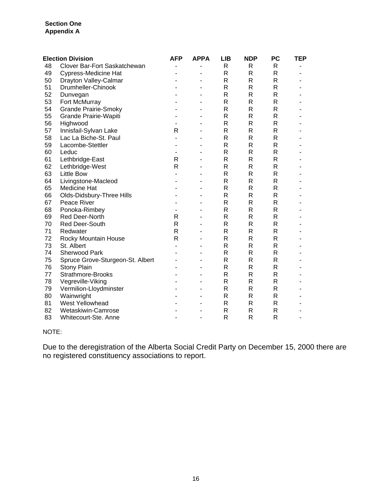#### **Section One Appendix A**

|    | <b>Election Division</b>         | AFP            | <b>APPA</b>              | <b>LIB</b> | <b>NDP</b> | <b>PC</b>    | TEP            |
|----|----------------------------------|----------------|--------------------------|------------|------------|--------------|----------------|
| 48 | Clover Bar-Fort Saskatchewan     | -              | $\overline{\phantom{a}}$ | R          | R          | $\mathsf{R}$ |                |
| 49 | <b>Cypress-Medicine Hat</b>      |                |                          | R          | R          | $\mathsf{R}$ |                |
| 50 | Drayton Valley-Calmar            | ۳              |                          | R          | R          | $\mathsf{R}$ |                |
| 51 | Drumheller-Chinook               |                |                          | R          | R          | $\mathsf{R}$ |                |
| 52 | Dunvegan                         |                |                          | R          | R          | $\mathsf{R}$ |                |
| 53 | Fort McMurray                    |                |                          | R          | R          | $\mathsf{R}$ |                |
| 54 | <b>Grande Prairie-Smoky</b>      |                |                          | R          | R          | $\mathsf{R}$ |                |
| 55 | Grande Prairie-Wapiti            |                |                          | R          | R          | $\mathsf{R}$ |                |
| 56 | Highwood                         |                |                          | R          | R          | $\mathsf{R}$ |                |
| 57 | Innisfail-Sylvan Lake            | R              |                          | R          | R          | $\mathsf{R}$ |                |
| 58 | Lac La Biche-St. Paul            | $\overline{a}$ |                          | R          | R          | $\mathsf{R}$ |                |
| 59 | Lacombe-Stettler                 | $\blacksquare$ |                          | R          | R          | $\mathsf{R}$ |                |
| 60 | Leduc                            | $\blacksquare$ |                          | R          | R          | $\mathsf{R}$ |                |
| 61 | Lethbridge-East                  | R              |                          | R          | R          | $\mathsf{R}$ |                |
| 62 | Lethbridge-West                  | $\mathsf{R}$   |                          | R          | R          | $\mathsf{R}$ |                |
| 63 | <b>Little Bow</b>                |                |                          | R          | R          | $\mathsf{R}$ |                |
| 64 | Livingstone-Macleod              | ä,             |                          | R          | R          | $\mathsf{R}$ |                |
| 65 | <b>Medicine Hat</b>              |                |                          | R          | R          | $\mathsf{R}$ |                |
| 66 | Olds-Didsbury-Three Hills        |                |                          | R          | R          | $\mathsf{R}$ |                |
| 67 | Peace River                      |                |                          | R          | R          | $\mathsf{R}$ |                |
| 68 | Ponoka-Rimbey                    | ä,             |                          | R          | R          | $\mathsf{R}$ |                |
| 69 | Red Deer-North                   | R              |                          | R          | R          | $\mathsf{R}$ |                |
| 70 | Red Deer-South                   | $\mathsf{R}$   |                          | R          | R          | $\mathsf{R}$ |                |
| 71 | Redwater                         | $\mathsf{R}$   |                          | R          | R          | $\mathsf{R}$ |                |
| 72 | Rocky Mountain House             | $\mathsf{R}$   |                          | R          | R          | $\mathsf{R}$ |                |
| 73 | St. Albert                       |                |                          | R          | R          | $\mathsf{R}$ |                |
| 74 | <b>Sherwood Park</b>             |                |                          | R          | R          | $\mathsf{R}$ |                |
| 75 | Spruce Grove-Sturgeon-St. Albert | ä,             |                          | R          | R          | $\mathsf{R}$ |                |
| 76 | Stony Plain                      |                |                          | R          | R          | $\mathsf{R}$ |                |
| 77 | Strathmore-Brooks                | ä,             |                          | R          | R          | $\mathsf{R}$ |                |
| 78 | Vegreville-Viking                | ۰              |                          | R.         | R          | $\mathsf{R}$ |                |
| 79 | Vermilion-Lloydminster           |                |                          | R          | R          | $\mathsf{R}$ |                |
| 80 | Wainwright                       |                |                          | R          | R          | $\mathsf{R}$ |                |
| 81 | West Yellowhead                  |                |                          | R          | R          | $\mathsf{R}$ |                |
| 82 | Wetaskiwin-Camrose               |                |                          | R          | R          | $\mathsf{R}$ |                |
| 83 | Whitecourt-Ste. Anne             | ۳              | $\overline{\phantom{a}}$ | R          | R          | $\mathsf{R}$ | $\blacksquare$ |

#### NOTE:

Due to the deregistration of the Alberta Social Credit Party on December 15, 2000 there are no registered constituency associations to report.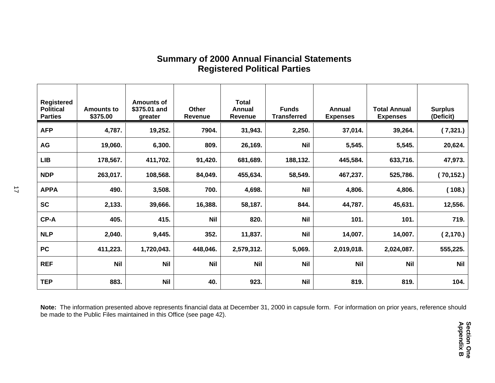| <b>Registered</b><br><b>Political</b><br><b>Parties</b> | <b>Amounts to</b><br>\$375.00 | Amounts of<br>\$375.01 and<br>greater | Other<br>Revenue | <b>Total</b><br>Annual<br>Revenue | <b>Funds</b><br><b>Transferred</b> | Annual<br><b>Expenses</b> | <b>Total Annual</b><br><b>Expenses</b> | <b>Surplus</b><br>(Deficit) |
|---------------------------------------------------------|-------------------------------|---------------------------------------|------------------|-----------------------------------|------------------------------------|---------------------------|----------------------------------------|-----------------------------|
| <b>AFP</b>                                              | 4,787.                        | 19,252.                               | 7904.            | 31,943.                           | 2,250.                             | 37,014.                   | 39,264.                                | (7,321.)                    |
| AG                                                      | 19,060.                       | 6,300.                                | 809.             | 26,169.                           | <b>Nil</b>                         | 5,545.                    | 5,545.                                 | 20,624.                     |
| <b>LIB</b>                                              | 178,567.                      | 411,702.                              | 91,420.          | 681,689.                          | 188,132.                           | 445,584.                  | 633,716.                               | 47,973.                     |
| <b>NDP</b>                                              | 263,017.                      | 108,568.                              | 84,049.          | 455,634.                          | 58,549.                            | 467,237.                  | 525,786.                               | (70,152.)                   |
| <b>APPA</b>                                             | 490.                          | 3,508.                                | 700.             | 4,698.                            | <b>Nil</b>                         | 4,806.                    | 4,806.                                 | (108.)                      |
| <b>SC</b>                                               | 2,133.                        | 39,666.                               | 16,388.          | 58,187.                           | 844.                               | 44,787.                   | 45,631.                                | 12,556.                     |
| CP-A                                                    | 405.                          | 415.                                  | <b>Nil</b>       | 820.                              | <b>Nil</b>                         | 101.                      | 101.                                   | 719.                        |
| <b>NLP</b>                                              | 2,040.                        | 9,445.                                | 352.             | 11,837.                           | <b>Nil</b>                         | 14,007.                   | 14,007.                                | (2, 170.)                   |
| <b>PC</b>                                               | 411,223.                      | 1,720,043.                            | 448,046.         | 2,579,312.                        | 5,069.                             | 2,019,018.                | 2,024,087.                             | 555,225.                    |
| <b>REF</b>                                              | <b>Nil</b>                    | <b>Nil</b>                            | <b>Nil</b>       | <b>Nil</b>                        | <b>Nil</b>                         | <b>Nil</b>                | <b>Nil</b>                             | <b>Nil</b>                  |
| <b>TEP</b>                                              | 883.                          | <b>Nil</b>                            | 40.              | 923.                              | <b>Nil</b>                         | 819.                      | 819.                                   | 104.                        |

## **Summary of 2000 Annual Financial Statements Registered Political Parties**

**Note:** The information presented above represents financial data at December 31, 2000 in capsule form. For information on prior years, reference should be made to the Public Files maintained in this Office (see page 42).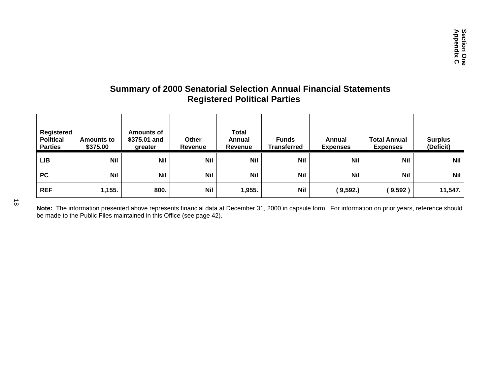## **Summary of 2000 Senatorial Selection Annual Financial Statements Registered Political Parties**

| Registered<br><b>Political</b><br><b>Parties</b> | <b>Amounts to</b><br>\$375.00 | Amounts of<br>\$375.01 and<br>greater | Other<br>Revenue | <b>Total</b><br>Annual<br>Revenue | <b>Funds</b><br>Transferred | Annual<br><b>Expenses</b> | <b>Total Annual</b><br><b>Expenses</b> | <b>Surplus</b><br>(Deficit) |
|--------------------------------------------------|-------------------------------|---------------------------------------|------------------|-----------------------------------|-----------------------------|---------------------------|----------------------------------------|-----------------------------|
| <b>LIB</b>                                       | <b>Nil</b>                    | <b>Nil</b>                            | <b>Nil</b>       | <b>Nil</b>                        | <b>Nil</b>                  | Nil                       | <b>Nil</b>                             | <b>Nil</b>                  |
| <b>PC</b>                                        | <b>Nil</b>                    | <b>Nil</b>                            | Nil              | <b>Nil</b>                        | <b>Nil</b>                  | <b>Nil</b>                | <b>Nil</b>                             | <b>Nil</b>                  |
| <b>REF</b>                                       | 1,155.                        | 800.                                  | Nil              | 1,955.                            | <b>Nil</b>                  | (9,592.)                  | (9,592)                                | 11,547.                     |

**Note:** The information presented above represents financial data at December 31, 2000 in capsule form. For information on prior years, reference should be made to the Public Files maintained in this Office (see page 42).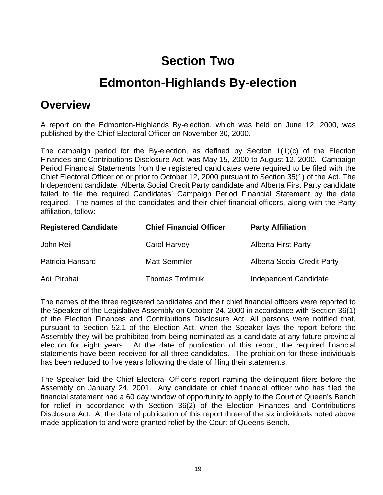# **Section Two**

## **Edmonton-Highlands By-election**

## **Overview**

A report on the Edmonton-Highlands By-election, which was held on June 12, 2000, was published by the Chief Electoral Officer on November 30, 2000.

The campaign period for the By-election, as defined by Section 1(1)(c) of the Election Finances and Contributions Disclosure Act, was May 15, 2000 to August 12, 2000. Campaign Period Financial Statements from the registered candidates were required to be filed with the Chief Electoral Officer on or prior to October 12, 2000 pursuant to Section 35(1) of the Act. The Independent candidate, Alberta Social Credit Party candidate and Alberta First Party candidate failed to file the required Candidates' Campaign Period Financial Statement by the date required. The names of the candidates and their chief financial officers, along with the Party affiliation, follow:

| <b>Registered Candidate</b> | <b>Chief Financial Officer</b> | <b>Party Affiliation</b>           |
|-----------------------------|--------------------------------|------------------------------------|
| John Reil                   | Carol Harvey                   | <b>Alberta First Party</b>         |
| Patricia Hansard            | <b>Matt Semmler</b>            | <b>Alberta Social Credit Party</b> |
| Adil Pirbhai                | <b>Thomas Trofimuk</b>         | Independent Candidate              |

The names of the three registered candidates and their chief financial officers were reported to the Speaker of the Legislative Assembly on October 24, 2000 in accordance with Section 36(1) of the Election Finances and Contributions Disclosure Act. All persons were notified that, pursuant to Section 52.1 of the Election Act, when the Speaker lays the report before the Assembly they will be prohibited from being nominated as a candidate at any future provincial election for eight years. At the date of publication of this report, the required financial statements have been received for all three candidates. The prohibition for these individuals has been reduced to five years following the date of filing their statements.

The Speaker laid the Chief Electoral Officer's report naming the delinquent filers before the Assembly on January 24, 2001. Any candidate or chief financial officer who has filed the financial statement had a 60 day window of opportunity to apply to the Court of Queen's Bench for relief in accordance with Section 36(2) of the Election Finances and Contributions Disclosure Act. At the date of publication of this report three of the six individuals noted above made application to and were granted relief by the Court of Queens Bench.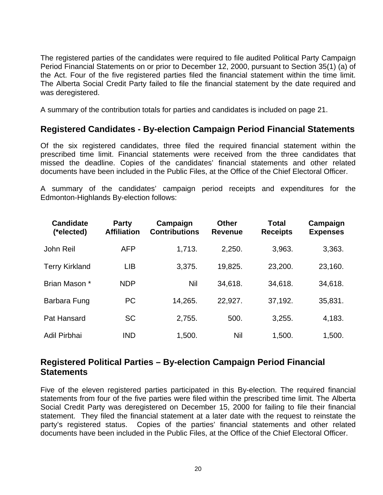The registered parties of the candidates were required to file audited Political Party Campaign Period Financial Statements on or prior to December 12, 2000, pursuant to Section 35(1) (a) of the Act. Four of the five registered parties filed the financial statement within the time limit. The Alberta Social Credit Party failed to file the financial statement by the date required and was deregistered.

A summary of the contribution totals for parties and candidates is included on page 21.

### **Registered Candidates - By-election Campaign Period Financial Statements**

Of the six registered candidates, three filed the required financial statement within the prescribed time limit. Financial statements were received from the three candidates that missed the deadline. Copies of the candidates' financial statements and other related documents have been included in the Public Files, at the Office of the Chief Electoral Officer.

A summary of the candidates' campaign period receipts and expenditures for the Edmonton-Highlands By-election follows:

| <b>Candidate</b><br>(*elected) | <b>Party</b><br><b>Affiliation</b> | Campaign<br><b>Contributions</b> | <b>Other</b><br><b>Revenue</b> | Total<br><b>Receipts</b> | Campaign<br><b>Expenses</b> |
|--------------------------------|------------------------------------|----------------------------------|--------------------------------|--------------------------|-----------------------------|
| John Reil                      | <b>AFP</b>                         | 1,713.                           | 2,250.                         | 3,963.                   | 3,363.                      |
| <b>Terry Kirkland</b>          | <b>LIB</b>                         | 3,375.                           | 19,825.                        | 23,200.                  | 23,160.                     |
| Brian Mason *                  | <b>NDP</b>                         | Nil                              | 34,618.                        | 34,618.                  | 34,618.                     |
| Barbara Fung                   | <b>PC</b>                          | 14,265.                          | 22,927.                        | 37,192.                  | 35,831.                     |
| Pat Hansard                    | <b>SC</b>                          | 2,755.                           | 500.                           | 3,255.                   | 4,183.                      |
| Adil Pirbhai                   | <b>IND</b>                         | 1,500.                           | Nil                            | 1,500.                   | 1,500.                      |

### **Registered Political Parties – By-election Campaign Period Financial Statements**

Five of the eleven registered parties participated in this By-election. The required financial statements from four of the five parties were filed within the prescribed time limit. The Alberta Social Credit Party was deregistered on December 15, 2000 for failing to file their financial statement. They filed the financial statement at a later date with the request to reinstate the party's registered status. Copies of the parties' financial statements and other related documents have been included in the Public Files, at the Office of the Chief Electoral Officer.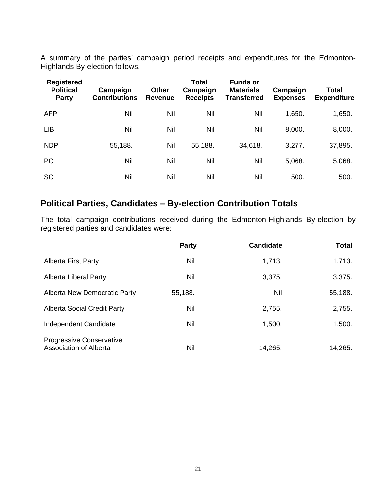A summary of the parties' campaign period receipts and expenditures for the Edmonton-Highlands By-election follows:

| <b>Registered</b><br><b>Political</b><br><b>Party</b> | Campaign<br><b>Contributions</b> | <b>Other</b><br>Revenue | <b>Total</b><br>Campaign<br><b>Receipts</b> | <b>Funds or</b><br><b>Materials</b><br><b>Transferred</b> | Campaign<br><b>Expenses</b> | <b>Total</b><br><b>Expenditure</b> |
|-------------------------------------------------------|----------------------------------|-------------------------|---------------------------------------------|-----------------------------------------------------------|-----------------------------|------------------------------------|
| <b>AFP</b>                                            | Nil                              | Nil                     | Nil                                         | Nil                                                       | 1,650.                      | 1,650.                             |
| <b>LIB</b>                                            | Nil                              | Nil                     | Nil                                         | Nil                                                       | 8,000.                      | 8,000.                             |
| <b>NDP</b>                                            | 55,188.                          | Nil                     | 55,188.                                     | 34,618.                                                   | 3,277.                      | 37,895.                            |
| <b>PC</b>                                             | Nil                              | Nil                     | Nil                                         | Nil                                                       | 5,068.                      | 5,068.                             |
| <b>SC</b>                                             | Nil                              | Nil                     | Nil                                         | Nil                                                       | 500.                        | 500.                               |

### **Political Parties, Candidates – By-election Contribution Totals**

The total campaign contributions received during the Edmonton-Highlands By-election by registered parties and candidates were:

|                                                           | Party   | <b>Candidate</b> | <b>Total</b> |
|-----------------------------------------------------------|---------|------------------|--------------|
| <b>Alberta First Party</b>                                | Nil     | 1,713.           | 1,713.       |
| Alberta Liberal Party                                     | Nil     | 3,375.           | 3,375.       |
| Alberta New Democratic Party                              | 55,188. | Nil              | 55,188.      |
| <b>Alberta Social Credit Party</b>                        | Nil     | 2,755.           | 2,755.       |
| Independent Candidate                                     | Nil     | 1,500.           | 1,500.       |
| Progressive Conservative<br><b>Association of Alberta</b> | Nil     | 14,265.          | 14,265.      |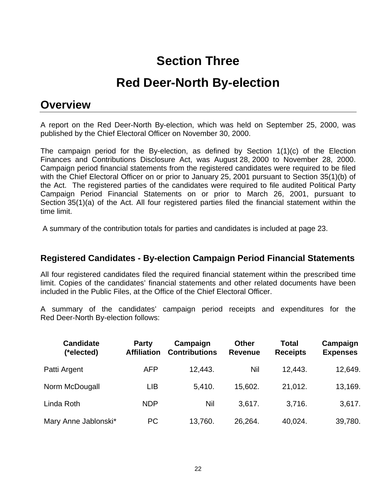## **Section Three**

# **Red Deer-North By-election**

## **Overview**

A report on the Red Deer-North By-election, which was held on September 25, 2000, was published by the Chief Electoral Officer on November 30, 2000.

The campaign period for the By-election, as defined by Section 1(1)(c) of the Election Finances and Contributions Disclosure Act, was August 28, 2000 to November 28, 2000. Campaign period financial statements from the registered candidates were required to be filed with the Chief Electoral Officer on or prior to January 25, 2001 pursuant to Section 35(1)(b) of the Act. The registered parties of the candidates were required to file audited Political Party Campaign Period Financial Statements on or prior to March 26, 2001, pursuant to Section 35(1)(a) of the Act. All four registered parties filed the financial statement within the time limit.

A summary of the contribution totals for parties and candidates is included at page 23.

### **Registered Candidates - By-election Campaign Period Financial Statements**

All four registered candidates filed the required financial statement within the prescribed time limit. Copies of the candidates' financial statements and other related documents have been included in the Public Files, at the Office of the Chief Electoral Officer.

A summary of the candidates' campaign period receipts and expenditures for the Red Deer-North By-election follows:

| <b>Candidate</b><br>(*elected) | <b>Party</b><br><b>Affiliation</b> | Campaign<br><b>Contributions</b> | <b>Other</b><br><b>Revenue</b> | Total<br><b>Receipts</b> | Campaign<br><b>Expenses</b> |
|--------------------------------|------------------------------------|----------------------------------|--------------------------------|--------------------------|-----------------------------|
| Patti Argent                   | <b>AFP</b>                         | 12,443.                          | Nil                            | 12,443.                  | 12,649.                     |
| Norm McDougall                 | LIB                                | 5,410.                           | 15,602.                        | 21,012.                  | 13,169.                     |
| Linda Roth                     | <b>NDP</b>                         | Nil                              | 3,617.                         | 3,716.                   | 3,617.                      |
| Mary Anne Jablonski*           | <b>PC</b>                          | 13,760.                          | 26,264.                        | 40,024.                  | 39,780.                     |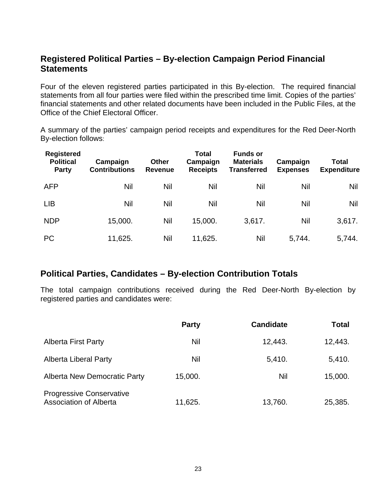## **Registered Political Parties – By-election Campaign Period Financial Statements**

Four of the eleven registered parties participated in this By-election. The required financial statements from all four parties were filed within the prescribed time limit. Copies of the parties' financial statements and other related documents have been included in the Public Files, at the Office of the Chief Electoral Officer.

A summary of the parties' campaign period receipts and expenditures for the Red Deer-North By-election follows:

| <b>Registered</b><br><b>Political</b><br>Party | Campaign<br><b>Contributions</b> | <b>Other</b><br><b>Revenue</b> | <b>Total</b><br>Campaign<br><b>Receipts</b> | <b>Funds or</b><br><b>Materials</b><br><b>Transferred</b> | Campaign<br><b>Expenses</b> | Total<br><b>Expenditure</b> |
|------------------------------------------------|----------------------------------|--------------------------------|---------------------------------------------|-----------------------------------------------------------|-----------------------------|-----------------------------|
| <b>AFP</b>                                     | Nil                              | <b>Nil</b>                     | Nil                                         | Nil                                                       | Nil                         | Nil                         |
| <b>LIB</b>                                     | Nil                              | Nil                            | Nil                                         | Nil                                                       | Nil                         | Nil                         |
| <b>NDP</b>                                     | 15,000.                          | Nil                            | 15,000.                                     | 3,617.                                                    | Nil                         | 3,617.                      |
| <b>PC</b>                                      | 11,625.                          | Nil                            | 11,625.                                     | Nil                                                       | 5,744.                      | 5,744.                      |

### **Political Parties, Candidates – By-election Contribution Totals**

The total campaign contributions received during the Red Deer-North By-election by registered parties and candidates were:

|                                                                  | <b>Party</b> | <b>Candidate</b> | <b>Total</b> |
|------------------------------------------------------------------|--------------|------------------|--------------|
| <b>Alberta First Party</b>                                       | Nil          | 12,443.          | 12,443.      |
| <b>Alberta Liberal Party</b>                                     | Nil          | 5,410.           | 5,410.       |
| <b>Alberta New Democratic Party</b>                              | 15,000.      | Nil              | 15,000.      |
| <b>Progressive Conservative</b><br><b>Association of Alberta</b> | 11,625.      | 13,760.          | 25,385.      |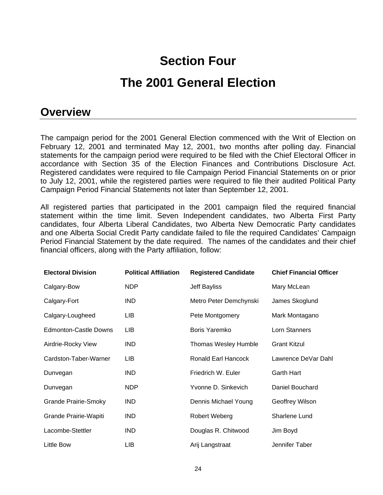## **Section Four**

## **The 2001 General Election**

## **Overview**

The campaign period for the 2001 General Election commenced with the Writ of Election on February 12, 2001 and terminated May 12, 2001, two months after polling day. Financial statements for the campaign period were required to be filed with the Chief Electoral Officer in accordance with Section 35 of the Election Finances and Contributions Disclosure Act. Registered candidates were required to file Campaign Period Financial Statements on or prior to July 12, 2001, while the registered parties were required to file their audited Political Party Campaign Period Financial Statements not later than September 12, 2001.

All registered parties that participated in the 2001 campaign filed the required financial statement within the time limit. Seven Independent candidates, two Alberta First Party candidates, four Alberta Liberal Candidates, two Alberta New Democratic Party candidates and one Alberta Social Credit Party candidate failed to file the required Candidates' Campaign Period Financial Statement by the date required. The names of the candidates and their chief financial officers, along with the Party affiliation, follow:

| <b>Electoral Division</b>    | <b>Political Affiliation</b> | <b>Registered Candidate</b> | <b>Chief Financial Officer</b> |
|------------------------------|------------------------------|-----------------------------|--------------------------------|
| Calgary-Bow                  | NDP                          | Jeff Bayliss                | Mary McLean                    |
| Calgary-Fort                 | IND.                         | Metro Peter Demchynski      | James Skoglund                 |
| Calgary-Lougheed             | LIB                          | Pete Montgomery             | Mark Montagano                 |
| <b>Edmonton-Castle Downs</b> | LIB                          | Boris Yaremko               | Lorn Stanners                  |
| Airdrie-Rocky View           | IND.                         | Thomas Wesley Humble        | <b>Grant Kitzul</b>            |
| Cardston-Taber-Warner        | LIB                          | Ronald Earl Hancock         | Lawrence DeVar Dahl            |
| Dunvegan                     | IND.                         | Friedrich W. Euler          | <b>Garth Hart</b>              |
| Dunvegan                     | NDP                          | Yvonne D. Sinkevich         | Daniel Bouchard                |
| <b>Grande Prairie-Smoky</b>  | IND.                         | Dennis Michael Young        | Geoffrey Wilson                |
| Grande Prairie-Wapiti        | <b>IND</b>                   | Robert Weberg               | Sharlene Lund                  |
| Lacombe-Stettler             | IND.                         | Douglas R. Chitwood         | Jim Boyd                       |
| Little Bow                   | <b>LIB</b>                   | Arij Langstraat             | Jennifer Taber                 |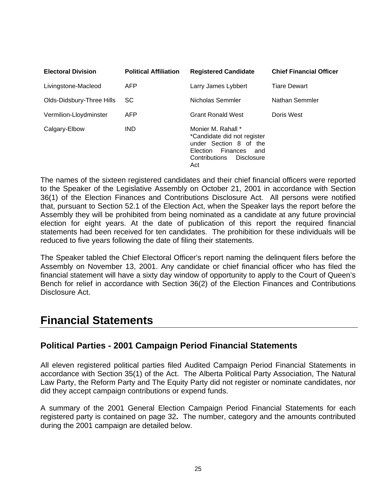| <b>Electoral Division</b> | <b>Political Affiliation</b> | <b>Registered Candidate</b>                                                                                                                      | <b>Chief Financial Officer</b> |
|---------------------------|------------------------------|--------------------------------------------------------------------------------------------------------------------------------------------------|--------------------------------|
| Livingstone-Macleod       | <b>AFP</b>                   | Larry James Lybbert                                                                                                                              | <b>Tiare Dewart</b>            |
| Olds-Didsbury-Three Hills | SC.                          | Nicholas Semmler                                                                                                                                 | Nathan Semmler                 |
| Vermilion-Lloydminster    | <b>AFP</b>                   | <b>Grant Ronald West</b>                                                                                                                         | Doris West                     |
| Calgary-Elbow             | <b>IND</b>                   | Monier M. Rahall *<br>*Candidate did not register<br>under Section 8 of the<br>Finances<br>Election<br>and<br>Contributions<br>Disclosure<br>Act |                                |

The names of the sixteen registered candidates and their chief financial officers were reported to the Speaker of the Legislative Assembly on October 21, 2001 in accordance with Section 36(1) of the Election Finances and Contributions Disclosure Act. All persons were notified that, pursuant to Section 52.1 of the Election Act, when the Speaker lays the report before the Assembly they will be prohibited from being nominated as a candidate at any future provincial election for eight years. At the date of publication of this report the required financial statements had been received for ten candidates. The prohibition for these individuals will be reduced to five years following the date of filing their statements.

The Speaker tabled the Chief Electoral Officer's report naming the delinquent filers before the Assembly on November 13, 2001. Any candidate or chief financial officer who has filed the financial statement will have a sixty day window of opportunity to apply to the Court of Queen's Bench for relief in accordance with Section 36(2) of the Election Finances and Contributions Disclosure Act.

## **Financial Statements**

## **Political Parties - 2001 Campaign Period Financial Statements**

All eleven registered political parties filed Audited Campaign Period Financial Statements in accordance with Section 35(1) of the Act. The Alberta Political Party Association, The Natural Law Party, the Reform Party and The Equity Party did not register or nominate candidates, nor did they accept campaign contributions or expend funds.

A summary of the 2001 General Election Campaign Period Financial Statements for each registered party is contained on page 32**.** The number, category and the amounts contributed during the 2001 campaign are detailed below.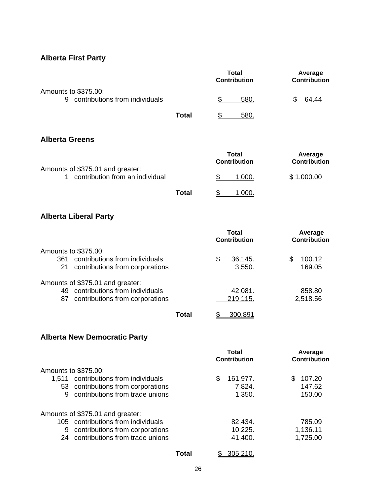## **Alberta First Party**

|                                                                           |              | Total<br><b>Contribution</b>        | Average<br><b>Contribution</b> |
|---------------------------------------------------------------------------|--------------|-------------------------------------|--------------------------------|
| Amounts to \$375.00:<br>9 contributions from individuals                  |              | \$<br>580.                          | \$<br>64.44                    |
|                                                                           | <b>Total</b> | 580.<br>S                           |                                |
| <b>Alberta Greens</b>                                                     |              |                                     |                                |
|                                                                           |              | <b>Total</b><br><b>Contribution</b> | Average<br><b>Contribution</b> |
| Amounts of \$375.01 and greater:<br>contribution from an individual<br>1. |              | \$<br>1,000.                        | \$1,000.00                     |
|                                                                           | <b>Total</b> | 1,000.                              |                                |

## **Alberta Liberal Party**

|                                       | Total<br><b>Contribution</b> | Average<br><b>Contribution</b> |
|---------------------------------------|------------------------------|--------------------------------|
| Amounts to \$375.00:                  |                              |                                |
| contributions from individuals<br>361 | \$<br>36,145.                | 100.12                         |
| contributions from corporations<br>21 | 3,550.                       | 169.05                         |
| Amounts of \$375.01 and greater:      |                              |                                |
| contributions from individuals<br>49  | 42,081.                      | 858.80                         |
| contributions from corporations<br>87 | 219,115.                     | 2,518.56                       |
| Total                                 | 300.891                      |                                |

## **Alberta New Democratic Party**

|             |                                                                                           |       | Total<br><b>Contribution</b> |          | Average<br><b>Contribution</b> |
|-------------|-------------------------------------------------------------------------------------------|-------|------------------------------|----------|--------------------------------|
| 1.511<br>53 | Amounts to \$375.00:<br>contributions from individuals<br>contributions from corporations |       | \$<br>161,977.<br>7,824.     | S        | 107.20<br>147.62               |
| 9           | contributions from trade unions                                                           |       | 1,350.                       |          | 150.00                         |
|             | Amounts of \$375.01 and greater:                                                          |       |                              |          |                                |
|             | 105 contributions from individuals                                                        |       | 82,434.                      |          | 785.09                         |
| 9           | contributions from corporations                                                           |       | 10,225.                      | 1,136.11 |                                |
| 24          | contributions from trade unions                                                           |       | 41,400.                      | 1,725.00 |                                |
|             |                                                                                           | Total | 305,210.                     |          |                                |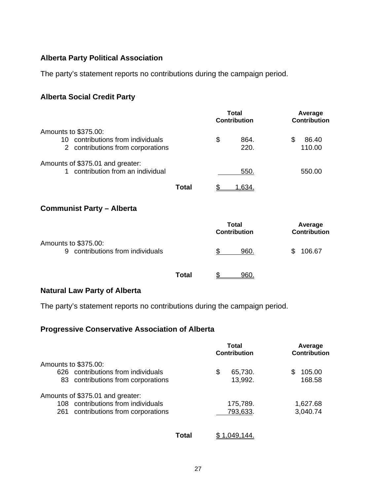### **Alberta Party Political Association**

The party's statement reports no contributions during the campaign period.

#### **Alberta Social Credit Party**

|                                                                                                    |       | Total<br><b>Contribution</b> | Average<br><b>Contribution</b> |
|----------------------------------------------------------------------------------------------------|-------|------------------------------|--------------------------------|
| Amounts to \$375.00:<br>contributions from individuals<br>10.<br>2 contributions from corporations |       | \$<br>864.<br>220.           | \$<br>86.40<br>110.00          |
| Amounts of \$375.01 and greater:<br>1 contribution from an individual                              |       | 550.                         | 550.00                         |
|                                                                                                    | Total | 1,634.                       |                                |
| <b>Communist Party - Alberta</b>                                                                   |       |                              |                                |
|                                                                                                    |       | Total<br><b>Contribution</b> | Average<br><b>Contribution</b> |
| Amounts to \$375.00:<br>9 contributions from individuals                                           |       | \$<br>960.                   | 106.67<br>\$                   |

**Total** \$ 960.

### **Natural Law Party of Alberta**

The party's statement reports no contributions during the campaign period.

### **Progressive Conservative Association of Alberta**

|                                     | Total<br><b>Contribution</b> | Average<br><b>Contribution</b> |
|-------------------------------------|------------------------------|--------------------------------|
| Amounts to \$375.00:                |                              |                                |
| 626 contributions from individuals  | \$<br>65,730.                | 105.00                         |
| 83 contributions from corporations  | 13,992.                      | 168.58                         |
| Amounts of \$375.01 and greater:    |                              |                                |
| 108 contributions from individuals  | 175,789.                     | 1,627.68                       |
| 261 contributions from corporations | 793,633.                     | 3,040.74                       |

**Total** \$ 1,049,144.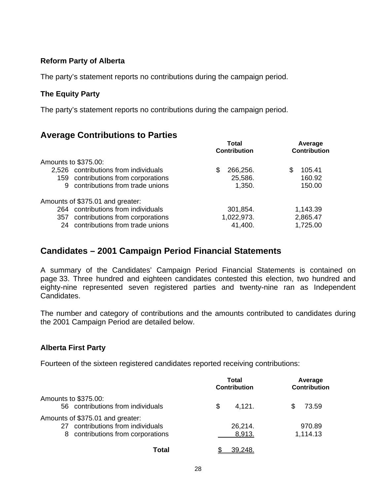#### **Reform Party of Alberta**

The party's statement reports no contributions during the campaign period.

#### **The Equity Party**

The party's statement reports no contributions during the campaign period.

### **Average Contributions to Parties**

|                      |                                      |   | Total<br><b>Contribution</b> |     | Average<br><b>Contribution</b> |  |
|----------------------|--------------------------------------|---|------------------------------|-----|--------------------------------|--|
| Amounts to \$375.00: |                                      |   |                              |     |                                |  |
|                      | 2,526 contributions from individuals | S | 266,256.                     | \$. | 105.41                         |  |
|                      | 159 contributions from corporations  |   | 25,586.                      |     | 160.92                         |  |
| 9                    | contributions from trade unions      |   | 1,350.                       |     | 150.00                         |  |
|                      | Amounts of \$375.01 and greater:     |   |                              |     |                                |  |
| 264                  | contributions from individuals       |   | 301,854.                     |     | 1,143.39                       |  |
| 357                  | contributions from corporations      |   | 1,022,973.                   |     | 2,865.47                       |  |
|                      | 24 contributions from trade unions   |   | 41,400.                      |     | 1,725.00                       |  |

### **Candidates – 2001 Campaign Period Financial Statements**

A summary of the Candidates' Campaign Period Financial Statements is contained on page 33. Three hundred and eighteen candidates contested this election, two hundred and eighty-nine represented seven registered parties and twenty-nine ran as Independent Candidates.

The number and category of contributions and the amounts contributed to candidates during the 2001 Campaign Period are detailed below.

### **Alberta First Party**

Fourteen of the sixteen registered candidates reported receiving contributions:

|                                                                                                                  | Total<br><b>Contribution</b> | Average<br><b>Contribution</b> |  |
|------------------------------------------------------------------------------------------------------------------|------------------------------|--------------------------------|--|
| Amounts to \$375.00:<br>56 contributions from individuals                                                        | 4,121.<br>S                  | 73.59                          |  |
| Amounts of \$375.01 and greater:<br>contributions from individuals<br>27<br>contributions from corporations<br>8 | 26,214.<br>8,913.            | 970.89<br>1,114.13             |  |
| Total                                                                                                            | 39,248                       |                                |  |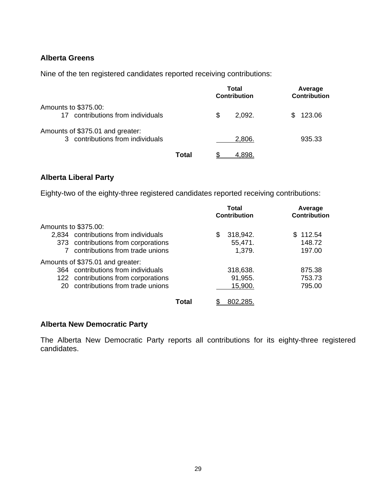#### **Alberta Greens**

Nine of the ten registered candidates reported receiving contributions:

|                                                                    |       | Total<br><b>Contribution</b> | Average<br><b>Contribution</b> |  |
|--------------------------------------------------------------------|-------|------------------------------|--------------------------------|--|
| Amounts to \$375.00:<br>contributions from individuals<br>17       |       | \$<br>2,092.                 | 123.06<br>S                    |  |
| Amounts of \$375.01 and greater:<br>contributions from individuals |       | 2,806.                       | 935.33                         |  |
|                                                                    | Total |                              |                                |  |

#### **Alberta Liberal Party**

Eighty-two of the eighty-three registered candidates reported receiving contributions:

|                                        |       | Total<br><b>Contribution</b> |          | Average<br><b>Contribution</b> |  |
|----------------------------------------|-------|------------------------------|----------|--------------------------------|--|
| Amounts to \$375.00:                   |       |                              |          |                                |  |
| 2,834 contributions from individuals   |       | S                            | 318,942. | \$112.54                       |  |
| 373 contributions from corporations    |       |                              | 55,471.  | 148.72                         |  |
| contributions from trade unions        |       |                              | 1,379.   | 197.00                         |  |
| Amounts of \$375.01 and greater:       |       |                              |          |                                |  |
| contributions from individuals<br>364  |       |                              | 318,638. | 875.38                         |  |
| 122 contributions from corporations    |       |                              | 91,955.  | 753.73                         |  |
| contributions from trade unions<br>20. |       |                              | 15,900.  | 795.00                         |  |
|                                        | Total |                              | 802.285  |                                |  |

#### **Alberta New Democratic Party**

The Alberta New Democratic Party reports all contributions for its eighty-three registered candidates.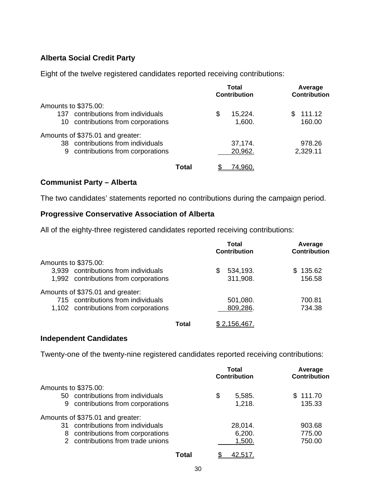### **Alberta Social Credit Party**

Eight of the twelve registered candidates reported receiving contributions:

|                                                                                                               | Total<br><b>Contribution</b> | Average<br>Contribution |
|---------------------------------------------------------------------------------------------------------------|------------------------------|-------------------------|
| Amounts to \$375.00:<br>contributions from individuals<br>137.<br>contributions from corporations<br>10       | 15,224.<br>S<br>1,600.       | 111.12<br>SS.<br>160.00 |
| Amounts of \$375.01 and greater:<br>38 contributions from individuals<br>contributions from corporations<br>9 | 37,174.<br>20,962.           | 978.26<br>2,329.11      |
| Total                                                                                                         | (4.960)                      |                         |

#### **Communist Party – Alberta**

The two candidates' statements reported no contributions during the campaign period.

#### **Progressive Conservative Association of Alberta**

All of the eighty-three registered candidates reported receiving contributions:

|                                       | <b>Total</b><br><b>Contribution</b> | Average<br><b>Contribution</b> |  |
|---------------------------------------|-------------------------------------|--------------------------------|--|
| Amounts to \$375.00:                  |                                     |                                |  |
| 3,939 contributions from individuals  | 534,193.<br>\$.                     | \$135.62                       |  |
| 1,992 contributions from corporations | 311,908.                            | 156.58                         |  |
| Amounts of \$375.01 and greater:      |                                     |                                |  |
| 715 contributions from individuals    | 501,080.                            | 700.81                         |  |
| 1,102 contributions from corporations | 809,286.                            | 734.38                         |  |
| Total                                 | \$ 2.156.467                        |                                |  |

#### **Independent Candidates**

Twenty-one of the twenty-nine registered candidates reported receiving contributions:

|                                                  | <b>Total</b><br><b>Contribution</b> | Average<br><b>Contribution</b> |
|--------------------------------------------------|-------------------------------------|--------------------------------|
| Amounts to \$375.00:                             |                                     |                                |
| 50 contributions from individuals                | \$<br>5,585.                        | \$111.70                       |
| contributions from corporations<br>9             | 1,218.                              | 135.33                         |
| Amounts of \$375.01 and greater:                 |                                     |                                |
| contributions from individuals<br>31             | 28,014.                             | 903.68                         |
| contributions from corporations<br>8             | 6,200.                              | 775.00                         |
| contributions from trade unions<br>$\mathcal{P}$ | 1,500.                              | 750.00                         |
| Total                                            | 42.517                              |                                |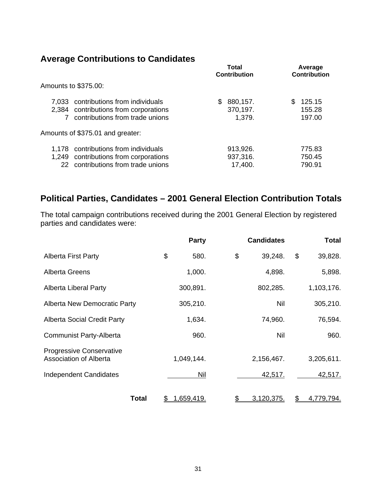## **Average Contributions to Candidates**

|                                                                                                                     | Total<br><b>Contribution</b> |                                 | Average<br><b>Contribution</b> |                            |
|---------------------------------------------------------------------------------------------------------------------|------------------------------|---------------------------------|--------------------------------|----------------------------|
| Amounts to \$375.00:                                                                                                |                              |                                 |                                |                            |
| 7,033 contributions from individuals<br>2,384 contributions from corporations<br>contributions from trade unions    | S                            | 880,157.<br>370,197.<br>1,379.  | \$.                            | 125.15<br>155.28<br>197.00 |
| Amounts of \$375.01 and greater:                                                                                    |                              |                                 |                                |                            |
| 1,178 contributions from individuals<br>1,249 contributions from corporations<br>22 contributions from trade unions |                              | 913,926.<br>937,316.<br>17,400. |                                | 775.83<br>750.45<br>790.91 |
|                                                                                                                     |                              |                                 |                                |                            |

## **Political Parties, Candidates – 2001 General Election Contribution Totals**

The total campaign contributions received during the 2001 General Election by registered parties and candidates were:

|                                                                  | Party            | <b>Candidates</b> |    | <b>Total</b> |
|------------------------------------------------------------------|------------------|-------------------|----|--------------|
| <b>Alberta First Party</b>                                       | \$<br>580.       | \$<br>39,248.     | \$ | 39,828.      |
| <b>Alberta Greens</b>                                            | 1,000.           | 4,898.            |    | 5,898.       |
| Alberta Liberal Party                                            | 300,891.         | 802,285.          |    | 1,103,176.   |
| Alberta New Democratic Party                                     | 305,210.         | Nil               |    | 305,210.     |
| <b>Alberta Social Credit Party</b>                               | 1,634.           | 74,960.           |    | 76,594.      |
| <b>Communist Party-Alberta</b>                                   | 960.             | Nil               |    | 960.         |
| <b>Progressive Conservative</b><br><b>Association of Alberta</b> | 1,049,144.       | 2,156,467.        |    | 3,205,611.   |
| <b>Independent Candidates</b>                                    | Nil              | 42,517.           |    | 42,517.      |
| Total                                                            | \$<br>1,659,419. | \$<br>3,120,375.  | S. | 4,779,794.   |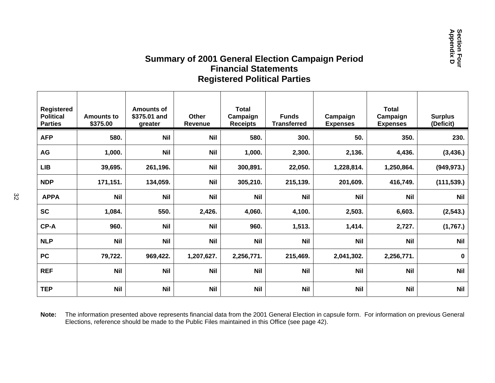### **Summary of 2001 General Election Campaign Period Financial StatementsRegistered Political Parties**

| Registered<br><b>Political</b><br><b>Parties</b> | <b>Amounts to</b><br>\$375.00 | <b>Amounts of</b><br>\$375.01 and<br>greater | <b>Other</b><br>Revenue | <b>Total</b><br>Campaign<br><b>Receipts</b> | <b>Funds</b><br><b>Transferred</b> | Campaign<br><b>Expenses</b> | <b>Total</b><br>Campaign<br><b>Expenses</b> | <b>Surplus</b><br>(Deficit) |
|--------------------------------------------------|-------------------------------|----------------------------------------------|-------------------------|---------------------------------------------|------------------------------------|-----------------------------|---------------------------------------------|-----------------------------|
| <b>AFP</b>                                       | 580.                          | <b>Nil</b>                                   | <b>Nil</b>              | 580.                                        | 300.                               | 50.                         | 350.                                        | 230.                        |
| AG                                               | 1,000.                        | <b>Nil</b>                                   | <b>Nil</b>              | 1,000.                                      | 2,300.                             | 2,136.                      | 4,436.                                      | (3, 436.)                   |
| LIB                                              | 39,695.                       | 261,196.                                     | <b>Nil</b>              | 300,891.                                    | 22,050.                            | 1,228,814.                  | 1,250,864.                                  | (949, 973.)                 |
| <b>NDP</b>                                       | 171,151.                      | 134,059.                                     | <b>Nil</b>              | 305,210.                                    | 215,139.                           | 201,609.                    | 416,749.                                    | (111, 539.)                 |
| <b>APPA</b>                                      | <b>Nil</b>                    | <b>Nil</b>                                   | <b>Nil</b>              | <b>Nil</b>                                  | <b>Nil</b>                         | <b>Nil</b>                  | <b>Nil</b>                                  | <b>Nil</b>                  |
| <b>SC</b>                                        | 1,084.                        | 550.                                         | 2,426.                  | 4,060.                                      | 4,100.                             | 2,503.                      | 6,603.                                      | (2, 543.)                   |
| CP-A                                             | 960.                          | <b>Nil</b>                                   | <b>Nil</b>              | 960.                                        | 1,513.                             | 1,414.                      | 2,727.                                      | (1,767.)                    |
| <b>NLP</b>                                       | <b>Nil</b>                    | <b>Nil</b>                                   | <b>Nil</b>              | <b>Nil</b>                                  | <b>Nil</b>                         | <b>Nil</b>                  | <b>Nil</b>                                  | <b>Nil</b>                  |
| <b>PC</b>                                        | 79,722.                       | 969,422.                                     | 1,207,627.              | 2,256,771.                                  | 215,469.                           | 2,041,302.                  | 2,256,771.                                  | $\mathbf 0$                 |
| <b>REF</b>                                       | <b>Nil</b>                    | <b>Nil</b>                                   | <b>Nil</b>              | <b>Nil</b>                                  | <b>Nil</b>                         | <b>Nil</b>                  | <b>Nil</b>                                  | <b>Nil</b>                  |
| <b>TEP</b>                                       | <b>Nil</b>                    | <b>Nil</b>                                   | <b>Nil</b>              | <b>Nil</b>                                  | <b>Nil</b>                         | <b>Nil</b>                  | <b>Nil</b>                                  | <b>Nil</b>                  |

**Note:** The information presented above represents financial data from the 2001 General Election in capsule form. For information on previous General Elections, reference should be made to the Public Files maintained in this Office (see page 42).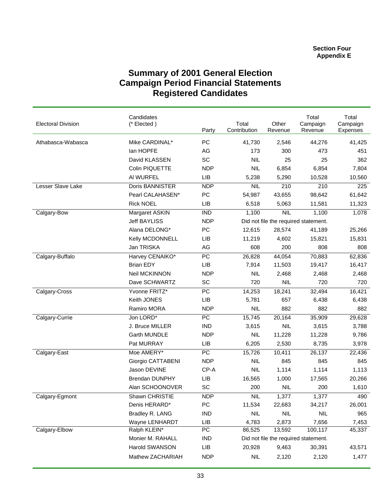## **Summary of 2001 General Election Campaign Period Financial Statements Registered Candidates**

| <b>Electoral Division</b> | Candidates<br>(* Elected) | Party           | Total<br>Contribution | Other<br>Revenue        | Total<br>Campaign<br>Revenue         | Total<br>Campaign<br><b>Expenses</b> |
|---------------------------|---------------------------|-----------------|-----------------------|-------------------------|--------------------------------------|--------------------------------------|
| Athabasca-Wabasca         | Mike CARDINAL*            | PC              | 41,730                | 2,546                   | 44,276                               | 41,425                               |
|                           | lan HOPFE                 | AG              | 173                   | 300                     | 473                                  | 451                                  |
|                           | David KLASSEN             | SC              | <b>NIL</b>            | 25                      | 25                                   | 362                                  |
|                           | Colin PIQUETTE            | <b>NDP</b>      | <b>NIL</b>            | 6,854                   | 6,854                                | 7,804                                |
|                           | AI WURFEL                 | LIB             | 5,238                 | 5,290                   | 10,528                               | 10,560                               |
| Lesser Slave Lake         | Doris BANNISTER           | <b>NDP</b>      | <b>NIL</b>            | 210                     | $\overline{210}$                     | 225                                  |
|                           | Pearl CALAHASEN*          | PC              | 54,987                | 43,655                  | 98,642                               | 61,642                               |
|                           | <b>Rick NOEL</b>          | LIB             | 6,518                 | 5,063                   | 11,581                               | 11,323                               |
| Calgary-Bow               | Margaret ASKIN            | <b>IND</b>      | 1,100                 | $\overline{\text{NIL}}$ | 1,100                                | 1,078                                |
|                           | <b>Jeff BAYLISS</b>       | <b>NDP</b>      |                       |                         | Did not file the required statement. |                                      |
|                           | Alana DELONG*             | PC              | 12,615                | 28,574                  | 41,189                               | 25,266                               |
|                           | Kelly MCDONNELL           | LIB             | 11,219                | 4,602                   | 15,821                               | 15,831                               |
|                           | Jan TRISKA                | AG              | 608                   | 200                     | 808                                  | 808                                  |
| Calgary-Buffalo           | Harvey CENAIKO*           | PC              | 26,828                | 44,054                  | 70,883                               | 62,836                               |
|                           | <b>Brian EDY</b>          | LIB             | 7,914                 | 11,503                  | 19,417                               | 16,417                               |
|                           | Neil MCKINNON             | <b>NDP</b>      | <b>NIL</b>            | 2,468                   | 2,468                                | 2,468                                |
|                           | Dave SCHWARTZ             | SC              | 720                   | <b>NIL</b>              | 720                                  | 720                                  |
| Calgary-Cross             | Yvonne FRITZ*             | $\overline{PC}$ | 14,253                | 18,241                  | 32,494                               | 16,421                               |
|                           | Keith JONES               | LIB             | 5,781                 | 657                     | 6,438                                | 6,438                                |
|                           | Ramiro MORA               | <b>NDP</b>      | <b>NIL</b>            | 882                     | 882                                  | 882                                  |
| Calgary-Currie            | Jon LORD*                 | $\overline{PC}$ | 15,745                | 20,164                  | 35,909                               | 29,628                               |
|                           | J. Bruce MILLER           | <b>IND</b>      | 3,615                 | <b>NIL</b>              | 3,615                                | 3,788                                |
|                           | Garth MUNDLE              | <b>NDP</b>      | <b>NIL</b>            | 11,228                  | 11,228                               | 9,786                                |
|                           | Pat MURRAY                | LIB             | 6,205                 | 2,530                   | 8,735                                | 3,978                                |
| Calgary-East              | Moe AMERY*                | PC              | 15,726                | 10,411                  | 26,137                               | 22,436                               |
|                           | Giorgio CATTABENI         | <b>NDP</b>      | <b>NIL</b>            | 845                     | 845                                  | 845                                  |
|                           | Jason DEVINE              | CP-A            | <b>NIL</b>            | 1,114                   | 1,114                                | 1,113                                |
|                           | <b>Brendan DUNPHY</b>     | LIB             | 16,565                | 1,000                   | 17,565                               | 20,266                               |
|                           | Alan SCHOONOVER           | SC              | 200                   | <b>NIL</b>              | 200                                  | 1,610                                |
| Calgary-Egmont            | Shawn CHRISTIE            | <b>NDP</b>      | <b>NIL</b>            | 1,377                   | 1,377                                | 490                                  |
|                           | Denis HERARD*             | PC              | 11,534                | 22,683                  | 34,217                               | 26,001                               |
|                           | Bradley R. LANG           | <b>IND</b>      | <b>NIL</b>            | <b>NIL</b>              | <b>NIL</b>                           | 965                                  |
|                           | Wayne LENHARDT            | LIB             | 4,783                 | 2,873                   | 7,656                                | 7,453                                |
| Calgary-Elbow             | Ralph KLEIN*              | PC              | 86,525                | 13,592                  | 100,117                              | 45,337                               |
|                           | Monier M. RAHALL          | IND             |                       |                         | Did not file the required statement. |                                      |
|                           | Harold SWANSON            | LIB             | 20,928                | 9,463                   | 30,391                               | 43,571                               |
|                           | Mathew ZACHARIAH          | <b>NDP</b>      | <b>NIL</b>            | 2,120                   | 2,120                                | 1,477                                |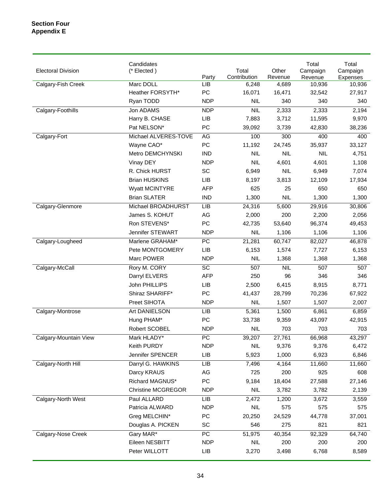| <b>Electoral Division</b> | Candidates<br>(* Elected) | Party           | Total<br>Contribution | Other<br>Revenue | Total<br>Campaign<br>Revenue | Total<br>Campaign<br>Expenses |
|---------------------------|---------------------------|-----------------|-----------------------|------------------|------------------------------|-------------------------------|
| Calgary-Fish Creek        | Marc DOLL                 | LIB             | 6,248                 | 4,689            | 10,936                       | 10,936                        |
|                           | Heather FORSYTH*          | PC              | 16,071                | 16,471           | 32,542                       | 27,917                        |
|                           | Ryan TODD                 | <b>NDP</b>      | <b>NIL</b>            | 340              | 340                          | 340                           |
| Calgary-Foothills         | Jon ADAMS                 | <b>NDP</b>      | NIL                   | 2,333            | 2,333                        | 2,194                         |
|                           | Harry B. CHASE            | LIB             | 7,883                 | 3,712            | 11,595                       | 9,970                         |
|                           | Pat NELSON*               | PC              | 39,092                | 3,739            | 42,830                       | 38,236                        |
| Calgary-Fort              | Michael ALVERES-TOVE      | AG              | 100                   | 300              | 400                          | 400                           |
|                           | Wayne CAO*                | PC              | 11,192                | 24,745           | 35,937                       | 33,127                        |
|                           | Metro DEMCHYNSKI          | <b>IND</b>      | <b>NIL</b>            | <b>NIL</b>       | <b>NIL</b>                   | 4,751                         |
|                           | Vinay DEY                 | <b>NDP</b>      | <b>NIL</b>            | 4,601            | 4,601                        | 1,108                         |
|                           | R. Chick HURST            | SC              | 6,949                 | <b>NIL</b>       | 6,949                        | 7,074                         |
|                           | <b>Brian HUSKINS</b>      | LIB             | 8,197                 | 3,813            | 12,109                       | 17,934                        |
|                           | <b>Wyatt MCINTYRE</b>     | <b>AFP</b>      | 625                   | 25               | 650                          | 650                           |
|                           | <b>Brian SLATER</b>       | <b>IND</b>      | 1,300                 | <b>NIL</b>       | 1,300                        | 1,300                         |
| Calgary-Glenmore          | Michael BROADHURST        | LIB             | 24,316                | 5,600            | 29,916                       | 30,806                        |
|                           | James S. KOHUT            | AG              | 2,000                 | 200              | 2,200                        | 2,056                         |
|                           | Ron STEVENS*              | PC              | 42,735                | 53,640           | 96,374                       | 49,453                        |
|                           | Jennifer STEWART          | <b>NDP</b>      | <b>NIL</b>            | 1,106            | 1,106                        | 1,106                         |
| Calgary-Lougheed          | Marlene GRAHAM*           | $\overline{PC}$ | 21,281                | 60,747           | 82,027                       | 46,878                        |
|                           | Pete MONTGOMERY           | LIB             | 6,153                 | 1,574            | 7,727                        | 6,153                         |
|                           | Marc POWER                | <b>NDP</b>      | <b>NIL</b>            | 1,368            | 1,368                        | 1,368                         |
| Calgary-McCall            | Rory M. CORY              | $\overline{SC}$ | 507                   | <b>NIL</b>       | 507                          | 507                           |
|                           | Darryl ELVERS             | <b>AFP</b>      | 250                   | 96               | 346                          | 346                           |
|                           | John PHILLIPS             | LIB             | 2,500                 | 6,415            | 8,915                        | 8,771                         |
|                           | Shiraz SHARIFF*           | PC              | 41,437                | 28,799           | 70,236                       | 67,922                        |
|                           | Preet SIHOTA              | <b>NDP</b>      | <b>NIL</b>            | 1,507            | 1,507                        | 2,007                         |
| Calgary-Montrose          | <b>Art DANIELSON</b>      | LIB             | 5,361                 | 1,500            | 6,861                        | 6,859                         |
|                           | Hung PHAM*                | PC              | 33,738                | 9,359            | 43,097                       | 42,915                        |
|                           | Robert SCOBEL             | <b>NDP</b>      | <b>NIL</b>            | 703              | 703                          | 703                           |
| Calgary-Mountain View     | Mark HLADY*               | PC              | 39,207                | 27,761           | 66,968                       | 43,297                        |
|                           | Keith PURDY               | <b>NDP</b>      | <b>NIL</b>            | 9,376            | 9,376                        | 6,472                         |
|                           | Jennifer SPENCER          | <b>LIB</b>      | 5,923                 | 1,000            | 6,923                        | 6,846                         |
| Calgary-North Hill        | Darryl G. HAWKINS         | LIB             | 7,496                 | 4,164            | 11,660                       | 11,660                        |
|                           | Darcy KRAUS               | AG              | 725                   | 200              | 925                          | 608                           |
|                           | Richard MAGNUS*           | PC              | 9,184                 | 18,404           | 27,588                       | 27,146                        |
|                           | <b>Christine MCGREGOR</b> | <b>NDP</b>      | <b>NIL</b>            | 3,782            | 3,782                        | 2,139                         |
| Calgary-North West        | Paul ALLARD               | <b>LIB</b>      | 2,472                 | 1,200            | 3,672                        | 3,559                         |
|                           | Patricia ALWARD           | <b>NDP</b>      | <b>NIL</b>            | 575              | 575                          | 575                           |
|                           | Greg MELCHIN*             | PC              | 20,250                | 24,529           | 44,778                       | 37,001                        |
|                           | Douglas A. PICKEN         | SC              | 546                   | 275              | 821                          | 821                           |
| Calgary-Nose Creek        | Gary MAR*                 | PC              | 51,975                | 40,354           | 92,329                       | 64,740                        |
|                           | Eileen NESBITT            | <b>NDP</b>      | <b>NIL</b>            | 200              | 200                          | 200                           |
|                           | Peter WILLOTT             | LIB             | 3,270                 | 3,498            | 6,768                        | 8,589                         |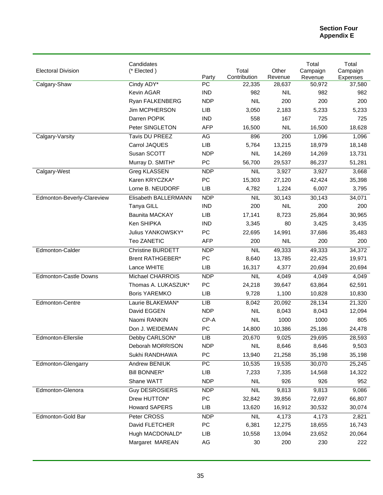| <b>Electoral Division</b>    | Candidates<br>(* Elected) |                 | Total        | Other      | Total<br>Campaign | Total<br>Campaign |
|------------------------------|---------------------------|-----------------|--------------|------------|-------------------|-------------------|
|                              |                           | Party           | Contribution | Revenue    | Revenue           | Expenses          |
| Calgary-Shaw                 | Cindy ADY*                | <b>PC</b>       | 22,335       | 28,637     | 50,972            | 37,580            |
|                              | Kevin AGAR                | <b>IND</b>      | 982          | <b>NIL</b> | 982               | 982               |
|                              | Ryan FALKENBERG           | <b>NDP</b>      | <b>NIL</b>   | 200        | 200               | 200               |
|                              | Jim MCPHERSON             | <b>LIB</b>      | 3,050        | 2,183      | 5,233             | 5,233             |
|                              | Darren POPIK              | <b>IND</b>      | 558          | 167        | 725               | 725               |
|                              | Peter SINGLETON           | <b>AFP</b>      | 16,500       | <b>NIL</b> | 16,500            | 18,628            |
| Calgary-Varsity              | Tavis DU PREEZ            | AG              | 896          | 200        | 1,096             | 1,096             |
|                              | Carrol JAQUES             | <b>LIB</b>      | 5,764        | 13,215     | 18,979            | 18,148            |
|                              | Susan SCOTT               | <b>NDP</b>      | <b>NIL</b>   | 14,269     | 14,269            | 13,731            |
|                              | Murray D. SMITH*          | PC              | 56,700       | 29,537     | 86,237            | 51,281            |
| Calgary-West                 | <b>Greg KLASSEN</b>       | <b>NDP</b>      | <b>NIL</b>   | 3,927      | 3,927             | 3,668             |
|                              | Karen KRYCZKA*            | PC              | 15,303       | 27,120     | 42,424            | 35,398            |
|                              | Lorne B. NEUDORF          | <b>LIB</b>      | 4,782        | 1,224      | 6,007             | 3,795             |
| Edmonton-Beverly-Clareview   | Elisabeth BALLERMANN      | <b>NDP</b>      | <b>NIL</b>   | 30,143     | 30,143            | 34,071            |
|                              | Tanya GILL                | <b>IND</b>      | 200          | <b>NIL</b> | 200               | 200               |
|                              | <b>Baunita MACKAY</b>     | <b>LIB</b>      | 17,141       | 8,723      | 25,864            | 30,965            |
|                              | Ken SHIPKA                | <b>IND</b>      | 3,345        | 80         | 3,425             | 3,435             |
|                              | Julius YANKOWSKY*         | PC              | 22,695       | 14,991     | 37,686            | 35,483            |
|                              | Teo ZANETIC               | <b>AFP</b>      | 200          | <b>NIL</b> | 200               | 200               |
| Edmonton-Calder              | <b>Christine BURDETT</b>  | <b>NDP</b>      | NIL          | 49,333     | 49,333            | 34,372            |
|                              | <b>Brent RATHGEBER*</b>   | PC              | 8,640        | 13,785     | 22,425            | 19,971            |
|                              | Lance WHITE               | <b>LIB</b>      | 16,317       | 4,377      | 20,694            | 20,694            |
| <b>Edmonton-Castle Downs</b> | Michael CHARROIS          | <b>NDP</b>      | <b>NIL</b>   | 4,049      | 4,049             | 4,049             |
|                              | Thomas A. LUKASZUK*       | PC              | 24,218       | 39,647     | 63,864            | 62,591            |
|                              | <b>Boris YAREMKO</b>      | <b>LIB</b>      | 9,728        | 1,100      | 10,828            | 10,830            |
| Edmonton-Centre              | Laurie BLAKEMAN*          | <b>LIB</b>      | 8,042        | 20,092     | 28,134            | 21,320            |
|                              | David EGGEN               | <b>NDP</b>      | <b>NIL</b>   | 8,043      | 8,043             | 12,094            |
|                              | Naomi RANKIN              | CP-A            | <b>NIL</b>   | 1000       | 1000              | 805               |
|                              | Don J. WEIDEMAN           | <b>PC</b>       | 14,800       | 10,386     | 25,186            | 24,478            |
| Edmonton-Ellerslie           | Debby CARLSON*            | LІВ             | 20,670       | 9,025      | 29,695            | 28,593            |
|                              | Deborah MORRISON          | <b>NDP</b>      | <b>NIL</b>   | 8,646      | 8,646             | 9,503             |
|                              | Sukhi RANDHAWA            | PC              | 13,940       | 21,258     | 35,198            | 35,198            |
| Edmonton-Glengarry           | <b>Andrew BENIUK</b>      | $\overline{PC}$ | 10,535       | 19,535     | 30,070            | 25,245            |
|                              | <b>Bill BONNER*</b>       | LIB             | 7,233        | 7,335      | 14,568            | 14,322            |
|                              | Shane WATT                | <b>NDP</b>      | <b>NIL</b>   | 926        | 926               | 952               |
| Edmonton-Glenora             | <b>Guy DESROSIERS</b>     | <b>NDP</b>      | <b>NIL</b>   | 9,813      | 9,813             | 9,086             |
|                              | Drew HUTTON*              | PC              | 32,842       | 39,856     | 72,697            | 66,807            |
|                              | <b>Howard SAPERS</b>      | LIB             | 13,620       | 16,912     | 30,532            | 30,074            |
| Edmonton-Gold Bar            | Peter CROSS               | <b>NDP</b>      | <b>NIL</b>   | 4,173      | 4,173             | 2,821             |
|                              | David FLETCHER            | PC              | 6,381        | 12,275     | 18,655            | 16,743            |
|                              | Hugh MACDONALD*           | LIB             | 10,558       | 13,094     | 23,652            | 20,064            |
|                              | Margaret MAREAN           | AG              | 30           | 200        | 230               | 222               |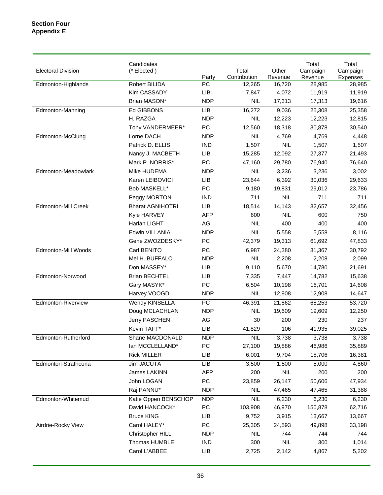| <b>Electoral Division</b>  | Candidates<br>(* Elected) | Party           | Total<br>Contribution | Other<br>Revenue | Total<br>Campaign<br>Revenue | Total<br>Campaign<br>Expenses |
|----------------------------|---------------------------|-----------------|-----------------------|------------------|------------------------------|-------------------------------|
| Edmonton-Highlands         | Robert BILIDA             | PC              | 12,265                | 16,720           | 28,985                       | 28,985                        |
|                            | Kim CASSADY               | LIB             | 7,847                 | 4,072            | 11,919                       | 11,919                        |
|                            | Brian MASON*              | <b>NDP</b>      | <b>NIL</b>            | 17,313           | 17,313                       | 19,616                        |
| Edmonton-Manning           | Ed GIBBONS                | <b>LIB</b>      | 16,272                | 9,036            | 25,308                       | 25,358                        |
|                            | H. RAZGA                  | <b>NDP</b>      | <b>NIL</b>            | 12,223           | 12,223                       | 12,815                        |
|                            | Tony VANDERMEER*          | PC              | 12,560                | 18,318           | 30,878                       | 30,540                        |
| Edmonton-McClung           | Lorne DACH                | <b>NDP</b>      | <b>NIL</b>            | 4,769            | 4,769                        | 4,448                         |
|                            | Patrick D. ELLIS          | <b>IND</b>      | 1,507                 | <b>NIL</b>       | 1,507                        | 1,507                         |
|                            | Nancy J. MACBETH          | LIB             | 15,285                | 12,092           | 27,377                       | 21,493                        |
|                            | Mark P. NORRIS*           | PC              | 47,160                | 29,780           | 76,940                       | 76,640                        |
| Edmonton-Meadowlark        | Mike HUDEMA               | <b>NDP</b>      | <b>NIL</b>            | 3,236            | 3,236                        | 3,002                         |
|                            | Karen LEIBOVICI           | LIB             | 23,644                | 6,392            | 30,036                       | 29,633                        |
|                            | Bob MASKELL*              | PC              | 9,180                 | 19,831           | 29,012                       | 23,786                        |
|                            | Peggy MORTON              | <b>IND</b>      | 711                   | <b>NIL</b>       | 711                          | 711                           |
| <b>Edmonton-Mill Creek</b> | <b>Bharat AGNIHOTRI</b>   | LIB             | 18,514                | 14,143           | 32,657                       | 32,456                        |
|                            | Kyle HARVEY               | <b>AFP</b>      | 600                   | <b>NIL</b>       | 600                          | 750                           |
|                            | Harlan LIGHT              | AG              | <b>NIL</b>            | 400              | 400                          | 400                           |
|                            | Edwin VILLANIA            | <b>NDP</b>      | <b>NIL</b>            | 5,558            | 5,558                        | 8,116                         |
|                            | Gene ZWOZDESKY*           | PC              | 42,379                | 19,313           | 61,692                       | 47,833                        |
| Edmonton-Mill Woods        | Carl BENITO               | $\overline{PC}$ | 6,987                 | 24,380           | 31,367                       | 30,792                        |
|                            | Mel H. BUFFALO            | <b>NDP</b>      | <b>NIL</b>            | 2,208            | 2,208                        | 2,099                         |
|                            | Don MASSEY*               | <b>LIB</b>      | 9,110                 | 5,670            | 14,780                       | 21,691                        |
| Edmonton-Norwood           | <b>Brian BECHTEL</b>      | <b>LIB</b>      | 7,335                 | 7,447            | 14,782                       | 15,638                        |
|                            | Gary MASYK*               | PC              | 6,504                 | 10,198           | 16,701                       | 14,608                        |
|                            | Harvey VOOGD              | <b>NDP</b>      | <b>NIL</b>            | 12,908           | 12,908                       | 14,647                        |
| Edmonton-Riverview         | Wendy KINSELLA            | $\overline{PC}$ | 46,391                | 21,862           | 68,253                       | 53,720                        |
|                            | Doug MCLACHLAN            | <b>NDP</b>      | <b>NIL</b>            | 19,609           | 19,609                       | 12,250                        |
|                            | Jerry PASCHEN             | AG              | 30                    | 200              | 230                          | 237                           |
|                            | Kevin TAFT*               | <b>LIB</b>      | 41,829                | 106              | 41,935                       | 39,025                        |
| Edmonton-Rutherford        | Shane MACDONALD           | <b>NDP</b>      | NIL                   | 3,738            | 3,738                        | 3,738                         |
|                            | lan MCCLELLAND*           | PC              | 27,100                | 19,886           | 46,986                       | 35,889                        |
|                            | <b>Rick MILLER</b>        | LIB             | 6,001                 | 9,704            | 15,706                       | 16,381                        |
| Edmonton-Strathcona        | <b>Jim JACUTA</b>         | LIB             | 3,500                 | 1,500            | 5,000                        | 4,860                         |
|                            | James LAKINN              | <b>AFP</b>      | 200                   | <b>NIL</b>       | 200                          | 200                           |
|                            | John LOGAN                | PC              | 23,859                | 26,147           | 50,606                       | 47,934                        |
|                            | Raj PANNU*                | <b>NDP</b>      | <b>NIL</b>            | 47,465           | 47,465                       | 31,388                        |
| Edmonton-Whitemud          | Katie Oppen BENSCHOP      | <b>NDP</b>      | <b>NIL</b>            | 6,230            | 6,230                        | 6,230                         |
|                            | David HANCOCK*            | PC              | 103,908               | 46,970           | 150,878                      | 62,716                        |
|                            | <b>Bruce KING</b>         | LIB             | 9,752                 | 3,915            | 13,667                       | 13,667                        |
| Airdrie-Rocky View         | Carol HALEY*              | PC              | 25,305                | 24,593           | 49,898                       | 33,198                        |
|                            | Christopher HILL          | <b>NDP</b>      | NIL                   | 744              | 744                          | 744                           |
|                            | Thomas HUMBLE             | <b>IND</b>      | 300                   | <b>NIL</b>       | 300                          | 1,014                         |
|                            | Carol L'ABBEE             | LIB             | 2,725                 | 2,142            | 4,867                        | 5,202                         |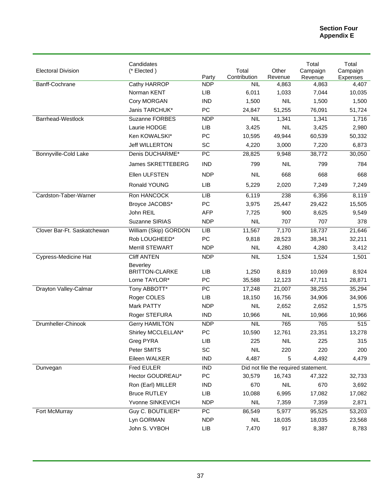| <b>Electoral Division</b>   | Candidates<br>(* Elected)          | Party                    | Total<br>Contribution | Other<br>Revenue  | Total<br>Campaign<br>Revenue                   | Total<br>Campaign<br>Expenses |
|-----------------------------|------------------------------------|--------------------------|-----------------------|-------------------|------------------------------------------------|-------------------------------|
| Banff-Cochrane              | Cathy HARROP                       | <b>NDP</b>               | NIL.                  | 4,863             | 4,863                                          | 4,407                         |
|                             | Norman KENT                        | LIB                      | 6,011                 | 1,033             | 7,044                                          | 10,035                        |
|                             | Cory MORGAN                        | <b>IND</b>               | 1,500                 | <b>NIL</b>        | 1,500                                          | 1,500                         |
|                             | Janis TARCHUK*                     | PC                       | 24,847                | 51,255            | 76,091                                         | 51,724                        |
| <b>Barrhead-Westlock</b>    | Suzanne FORBES                     | <b>NDP</b>               | <b>NIL</b>            | 1,341             | 1,341                                          | 1,716                         |
|                             | Laurie HODGE                       | LIB                      | 3,425                 | <b>NIL</b>        | 3,425                                          | 2,980                         |
|                             | Ken KOWALSKI*                      | PC                       | 10,595                | 49,944            | 60,539                                         | 50,332                        |
|                             | Jeff WILLERTON                     | SC                       | 4,220                 | 3,000             | 7,220                                          | 6,873                         |
| Bonnyville-Cold Lake        | Denis DUCHARME*                    | PC                       | 28,825                | 9,948             | 38,772                                         | 30,050                        |
|                             | James SKRETTEBERG                  | <b>IND</b>               | 799                   | <b>NIL</b>        | 799                                            | 784                           |
|                             | Ellen ULFSTEN                      | <b>NDP</b>               | <b>NIL</b>            | 668               | 668                                            | 668                           |
|                             | Ronald YOUNG                       | <b>LIB</b>               | 5,229                 | 2,020             | 7,249                                          | 7,249                         |
| Cardston-Taber-Warner       | Ron HANCOCK                        | LIB                      | 6,119                 | 238               | 6,356                                          | 8,119                         |
|                             | Broyce JACOBS*                     | PC                       | 3,975                 | 25,447            | 29,422                                         | 15,505                        |
|                             | John REIL                          | <b>AFP</b>               | 7,725                 | 900               | 8,625                                          | 9,549                         |
|                             | Suzanne SIRIAS                     | <b>NDP</b>               | <b>NIL</b>            | 707               | 707                                            | 378                           |
| Clover Bar-Ft. Saskatchewan | William (Skip) GORDON              | LIB                      | 11,567                | 7,170             | 18,737                                         | 21,646                        |
|                             | Rob LOUGHEED*                      | PC                       | 9,818                 | 28,523            | 38,341                                         | 32,211                        |
|                             | Merrill STEWART                    | <b>NDP</b>               | <b>NIL</b>            | 4,280             | 4,280                                          | 3,412                         |
| <b>Cypress-Medicine Hat</b> | <b>Cliff ANTEN</b>                 | <b>NDP</b>               | NIL                   | 1,524             | 1,524                                          | 1,501                         |
|                             | <b>Beverley</b>                    |                          |                       |                   |                                                |                               |
|                             | <b>BRITTON-CLARKE</b>              | LIB                      | 1,250                 | 8,819             | 10,069                                         | 8,924                         |
|                             | Lorne TAYLOR*                      | PC                       | 35,588                | 12,123            | 47,711                                         | 28,871                        |
| Drayton Valley-Calmar       | Tony ABBOTT*                       | PC                       | 17,248                | 21,007            | 38,255                                         | 35,294                        |
|                             | Roger COLES                        | LIB                      | 18,150                | 16,756            | 34,906                                         | 34,906                        |
|                             | Mark PATTY                         | <b>NDP</b>               | <b>NIL</b>            | 2,652             | 2,652                                          | 1,575                         |
|                             | Roger STEFURA                      | <b>IND</b>               | 10,966                | <b>NIL</b>        | 10,966                                         | 10,966                        |
| Drumheller-Chinook          | <b>Gerry HAMILTON</b>              | <b>NDP</b>               | <b>NIL</b>            | 765               | 765                                            | 515                           |
|                             | Shirley MCCLELLAN*                 | PC                       | 10,590                | 12,761            | 23,351                                         | 13,278                        |
|                             | Greg PYRA<br>Peter SMITS           | LIB<br>SC                | 225<br><b>NIL</b>     | <b>NIL</b><br>220 | 225<br>220                                     | 315                           |
|                             |                                    |                          |                       |                   |                                                | 200                           |
|                             | Eileen WALKER<br><b>Fred EULER</b> | <b>IND</b><br><b>IND</b> | 4,487                 | 5                 | 4,492                                          | 4,479                         |
| Dunvegan                    | Hector GOUDREAU*                   | PC                       | 30,579                | 16,743            | Did not file the required statement.<br>47,322 | 32,733                        |
|                             | Ron (Earl) MILLER                  | <b>IND</b>               | 670                   | <b>NIL</b>        | 670                                            | 3,692                         |
|                             | <b>Bruce RUTLEY</b>                | LIB                      | 10,088                | 6,995             | 17,082                                         | 17,082                        |
|                             | Yvonne SINKEVICH                   | <b>NDP</b>               | <b>NIL</b>            | 7,359             | 7,359                                          | 2,871                         |
| Fort McMurray               | Guy C. BOUTILIER*                  | PC                       | 86,549                | 5,977             |                                                |                               |
|                             | Lyn GORMAN                         | <b>NDP</b>               | <b>NIL</b>            | 18,035            | 95,525<br>18,035                               | 53,203<br>23,568              |
|                             | John S. VYBOH                      | LIB                      | 7,470                 | 917               | 8,387                                          | 8,783                         |
|                             |                                    |                          |                       |                   |                                                |                               |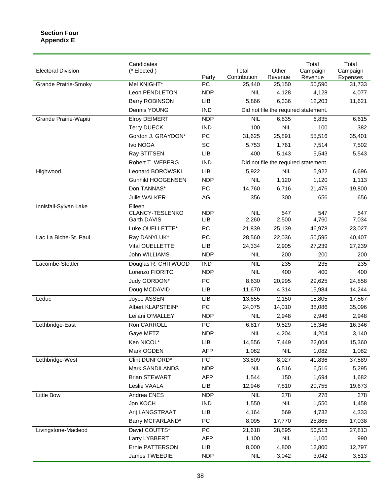| <b>Electoral Division</b>   | Candidates<br>(* Elected) |                 | Total        | Other                                | Total<br>Campaign                    | Total<br>Campaign |
|-----------------------------|---------------------------|-----------------|--------------|--------------------------------------|--------------------------------------|-------------------|
|                             |                           | Party           | Contribution | Revenue                              | Revenue                              | Expenses          |
| <b>Grande Prairie-Smoky</b> | Mel KNIGHT*               | PC              | 25,440       | 25,150                               | 50,590                               | 31,733            |
|                             | Leon PENDLETON            | <b>NDP</b>      | <b>NIL</b>   | 4,128                                | 4,128                                | 4,077             |
|                             | <b>Barry ROBINSON</b>     | LIB             | 5,866        | 6,336                                | 12,203                               | 11,621            |
|                             | Dennis YOUNG              | <b>IND</b>      |              | Did not file the required statement. |                                      |                   |
| Grande Prairie-Wapiti       | Elroy DEIMERT             | <b>NDP</b>      | <b>NIL</b>   | 6,835                                | 6,835                                | 6,615             |
|                             | <b>Terry DUECK</b>        | <b>IND</b>      | 100          | <b>NIL</b>                           | 100                                  | 382               |
|                             | Gordon J. GRAYDON*        | PC              | 31,625       | 25,891                               | 55,516                               | 35,401            |
|                             | Ivo NOGA                  | SC              | 5,753        | 1,761                                | 7,514                                | 7,502             |
|                             | Ray STITSEN               | LIB             | 400          | 5,143                                | 5,543                                | 5,543             |
|                             | Robert T. WEBERG          | <b>IND</b>      |              |                                      | Did not file the required statement. |                   |
| Highwood                    | Leonard BOROWSKI          | LIB             | 5,922        | NIL                                  | 5,922                                | 6,696             |
|                             | <b>Gunhild HOOGENSEN</b>  | <b>NDP</b>      | <b>NIL</b>   | 1,120                                | 1,120                                | 1,113             |
|                             | Don TANNAS*               | PC              | 14,760       | 6,716                                | 21,476                               | 19,800            |
|                             | Julie WALKER              | AG              | 356          | 300                                  | 656                                  | 656               |
| Innisfail-Sylvan Lake       | Eileen                    |                 |              |                                      |                                      |                   |
|                             | CLANCY-TESLENKO           | <b>NDP</b>      | <b>NIL</b>   | 547                                  | 547                                  | 547               |
|                             | Garth DAVIS               | LIB             | 2,260        | 2,500                                | 4,760                                | 7,034             |
|                             | Luke OUELLETTE*           | PC              | 21,839       | 25,139                               | 46,978                               | 23,027            |
| Lac La Biche-St. Paul       | Ray DANYLUK*              | $\overline{PC}$ | 28,560       | 22,036                               | 50,595                               | 40,407            |
|                             | Vital OUELLETTE           | LIB             | 24,334       | 2,905                                | 27,239                               | 27,239            |
|                             | John WILLIAMS             | <b>NDP</b>      | <b>NIL</b>   | 200                                  | 200                                  | 200               |
| Lacombe-Stettler            | Douglas R. CHITWOOD       | <b>IND</b>      | <b>NIL</b>   | 235                                  | 235                                  | 235               |
|                             | Lorenzo FIORITO           | <b>NDP</b>      | <b>NIL</b>   | 400                                  | 400                                  | 400               |
|                             | Judy GORDON*              | PC              | 8,630        | 20,995                               | 29,625                               | 24,858            |
|                             | Doug MCDAVID              | LIB             | 11,670       | 4,314                                | 15,984                               | 14,244            |
| Leduc                       | Joyce ASSEN               | LIB             | 13,655       | 2,150                                | 15,805                               | 17,567            |
|                             | Albert KLAPSTEIN*         | PC              | 24,075       | 14,010                               | 38,086                               | 35,096            |
|                             | Leilani O'MALLEY          | <b>NDP</b>      | <b>NIL</b>   | 2,948                                | 2,948                                | 2,948             |
| Lethbridge-East             | Ron CARROLL               | $\overline{PC}$ | 6,817        | 9,529                                | 16,346                               | 16,346            |
|                             | Gaye METZ                 | <b>NDP</b>      | <b>NIL</b>   | 4,204                                | 4,204                                | 3,140             |
|                             | Ken NICOL*                | LIB             | 14,556       | 7,449                                | 22,004                               | 15,360            |
|                             | Mark OGDEN                | <b>AFP</b>      | 1,082        | <b>NIL</b>                           | 1,082                                | 1,082             |
| Lethbridge-West             | Clint DUNFORD*            | $\overline{PC}$ | 33,809       | 8,027                                | 41,836                               | 37,589            |
|                             | Mark SANDILANDS           | <b>NDP</b>      | <b>NIL</b>   | 6,516                                | 6,516                                | 5,295             |
|                             | <b>Brian STEWART</b>      | <b>AFP</b>      | 1,544        | 150                                  | 1,694                                | 1,682             |
|                             | Leslie VAALA              | LIB             | 12,946       | 7,810                                | 20,755                               | 19,673            |
| <b>Little Bow</b>           | Andrea ENES               | <b>NDP</b>      | <b>NIL</b>   | 278                                  | $\overline{278}$                     | 278               |
|                             | Jon KOCH                  | <b>IND</b>      | 1,550        | <b>NIL</b>                           | 1,550                                | 1,458             |
|                             | Arij LANGSTRAAT           | LIB             | 4,164        | 569                                  | 4,732                                | 4,333             |
|                             | Barry MCFARLAND*          | PC              | 8,095        | 17,770                               | 25,865                               | 17,038            |
| Livingstone-Macleod         | David COUTTS*             | $\overline{PC}$ | 21,618       | 28,895                               | 50,513                               | 27,813            |
|                             | Larry LYBBERT             | AFP             | 1,100        | <b>NIL</b>                           | 1,100                                | 990               |
|                             | Ernie PATTERSON           | LIB             | 8,000        | 4,800                                | 12,800                               | 12,797            |
|                             | James TWEEDIE             | <b>NDP</b>      | <b>NIL</b>   | 3,042                                | 3,042                                | 3,513             |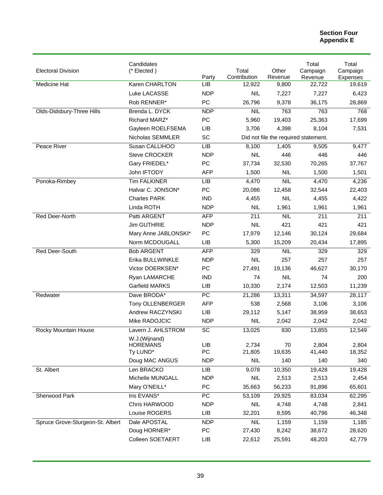| <b>Electoral Division</b>        | Candidates<br>(* Elected)                    |            | Total                                | Other        | Total<br>Campaign | Total<br>Campaign |
|----------------------------------|----------------------------------------------|------------|--------------------------------------|--------------|-------------------|-------------------|
|                                  |                                              | Party      | Contribution                         | Revenue      | Revenue           | Expenses          |
| Medicine Hat                     | Karen CHARLTON                               | <b>LIB</b> | 12,922                               | 9,800        | 22,722            | 19,619            |
|                                  | Luke LACASSE                                 | <b>NDP</b> | <b>NIL</b>                           | 7,227        | 7,227             | 6,423             |
|                                  | Rob RENNER*                                  | PC         | 26,796                               | 9,378        | 36,175            | 28,869            |
| Olds-Didsbury-Three Hills        | Brenda L. DYCK                               | <b>NDP</b> | <b>NIL</b>                           | 763          | 763               | 768               |
|                                  | Richard MARZ*                                | PC         | 5,960                                | 19,403       | 25,363            | 17,699            |
|                                  | Gayleen ROELFSEMA                            | <b>LIB</b> | 3,706                                | 4,398        | 8,104             | 7,531             |
|                                  | Nicholas SEMMLER                             | SC         | Did not file the required statement. |              |                   |                   |
| Peace River                      | Susan CALLIHOO                               | LIB        | 8,100                                | 1,405        | 9,505             | 9,477             |
|                                  | <b>Steve CROCKER</b>                         | <b>NDP</b> | <b>NIL</b>                           | 446          | 446               | 446               |
|                                  | Gary FRIEDEL*                                | PC         | 37,734                               | 32,530       | 70,265            | 37,767            |
|                                  | John IFTODY                                  | <b>AFP</b> | 1,500                                | <b>NIL</b>   | 1,500             | 1,501             |
| Ponoka-Rimbey                    | <b>Tim FALKINER</b>                          | <b>LIB</b> | 4,470                                | <b>NIL</b>   | 4,470             | 4,236             |
|                                  | Halvar C. JONSON*                            | PC         | 20,086                               | 12,458       | 32,544            | 22,403            |
|                                  | <b>Charles PARK</b>                          | <b>IND</b> | 4,455                                | <b>NIL</b>   | 4,455             | 4,422             |
|                                  | Linda ROTH                                   | <b>NDP</b> | <b>NIL</b>                           | 1,961        | 1,961             | 1,961             |
| Red Deer-North                   | Patti ARGENT                                 | <b>AFP</b> | 211                                  | <b>NIL</b>   | 211               | 211               |
|                                  | <b>Jim GUTHRIE</b>                           | <b>NDP</b> | <b>NIL</b>                           | 421          | 421               | 421               |
|                                  | Mary Anne JABLONSKI*                         | PC         | 17,979                               | 12,146       | 30,124            | 29,684            |
|                                  | Norm MCDOUGALL                               | <b>LIB</b> | 5,300                                | 15,209       | 20,434            | 17,895            |
| Red Deer-South                   | <b>Bob ARGENT</b>                            | <b>AFP</b> | 329                                  | <b>NIL</b>   | 329               | 329               |
|                                  | Erika BULLWINKLE                             | <b>NDP</b> | <b>NIL</b>                           | 257          | 257               | 257               |
|                                  | Victor DOERKSEN*                             | PC         | 27,491                               | 19,136       | 46,627            | 30,170            |
|                                  | Ryan LAMARCHE                                | IND        | 74                                   | <b>NIL</b>   | 74                | 200               |
|                                  | Garfield MARKS                               | <b>LIB</b> | 10,330                               | 2,174        | 12,503            | 11,239            |
| Redwater                         | Dave BRODA*                                  | PC         | 21,286                               | 13,311       | 34,597            | 28,117            |
|                                  | Tony OLLENBERGER                             | <b>AFP</b> | 538                                  | 2,568        | 3,106             | 3,106             |
|                                  | Andrew RACZYNSKI                             | <b>LIB</b> | 29,112                               | 5,147        | 38,959            | 38,653            |
|                                  | Mike RADOJCIC                                | <b>NDP</b> | <b>NIL</b>                           | 2,042        | 2,042             | 2,042             |
| Rocky Mountain House             | Lavern J. AHLSTROM                           | SC         | 13,025                               | 830          | 13,855            | 12,549            |
|                                  | W.J.(Wijnand)<br><b>HOREMANS</b><br>Ty LUND* | LIB<br>PC  | 2,734<br>21,805                      | 70<br>19,635 | 2,804<br>41,440   | 2,804<br>18,352   |
|                                  | Doug MAC ANGUS                               | <b>NDP</b> | <b>NIL</b>                           | 140          | 140               | 340               |
| St. Albert                       | Len BRACKO                                   | LIB        | 9,078                                | 10,350       | 19,428            | 19,428            |
|                                  | Michelle MUNGALL                             | <b>NDP</b> | <b>NIL</b>                           | 2,513        | 2,513             | 2,454             |
|                                  | Mary O'NEILL*                                | PC         | 35,663                               | 56,233       | 91,896            | 65,601            |
| Sherwood Park                    | Iris EVANS*                                  | PC         | 53,109                               | 29,925       | 83,034            | 62,295            |
|                                  | Chris HARWOOD                                | <b>NDP</b> | <b>NIL</b>                           | 4,748        | 4,748             | 2,841             |
|                                  | Louise ROGERS                                | LIB        | 32,201                               | 8,595        | 40,796            | 46,348            |
| Spruce Grove-Sturgeon-St. Albert | Dale APOSTAL                                 | <b>NDP</b> | <b>NIL</b>                           | 1,159        | 1,159             | 1,185             |
|                                  | Doug HORNER*                                 | PC         | 27,430                               | 8,242        | 38,672            | 28,620            |
|                                  | Colleen SOETAERT                             | LIB        | 22,612                               | 25,591       | 48,203            | 42,779            |
|                                  |                                              |            |                                      |              |                   |                   |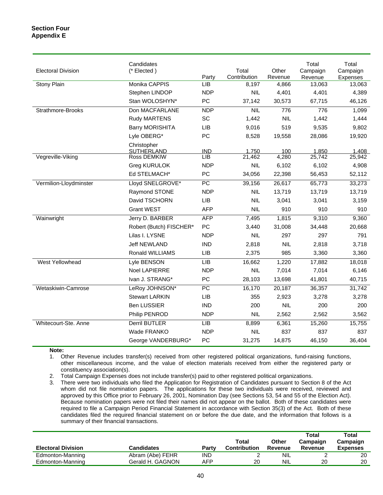| <b>Electoral Division</b> | Candidates<br>(* Elected)        | Party      | Total<br>Contribution | Other<br>Revenue | Total<br>Campaign<br>Revenue | Total<br>Campaign<br>Expenses |
|---------------------------|----------------------------------|------------|-----------------------|------------------|------------------------------|-------------------------------|
| Stony Plain               | Monika CAPPIS                    | LIB        | 8,197                 | 4,866            | 13,063                       | 13,063                        |
|                           | Stephen LINDOP                   | <b>NDP</b> | <b>NIL</b>            | 4,401            | 4,401                        | 4,389                         |
|                           | Stan WOLOSHYN*                   | PC         | 37,142                | 30,573           | 67,715                       | 46,126                        |
| Strathmore-Brooks         | Don MACFARLANE                   | <b>NDP</b> | NIL                   | 776              | 776                          | 1,099                         |
|                           | Rudy MARTENS                     | SC         | 1,442                 | <b>NIL</b>       | 1,442                        | 1,444                         |
|                           | <b>Barry MORISHITA</b>           | LIB        | 9,016                 | 519              | 9,535                        | 9,802                         |
|                           | Lyle OBERG*                      | PC         | 8,528                 | 19,558           | 28,086                       | 19,920                        |
|                           | Christopher<br><b>SUTHERLAND</b> | <b>IND</b> | 1,750                 | 100              | 1,850                        | 1,408                         |
| Vegreville-Viking         | Ross DEMKIW                      | LIB        | 21,462                | 4,280            | 25,742                       | 25,942                        |
|                           | <b>Greg KURULOK</b>              | <b>NDP</b> | <b>NIL</b>            | 6,102            | 6,102                        | 4,908                         |
|                           | Ed STELMACH*                     | PC         | 34,056                | 22,398           | 56,453                       | 52,112                        |
| Vermilion-Lloydminster    | Lloyd SNELGROVE*                 | PC         | 39,156                | 26,617           | 65,773                       | 33,273                        |
|                           | Raymond STONE                    | <b>NDP</b> | <b>NIL</b>            | 13,719           | 13,719                       | 13,719                        |
|                           | David TSCHORN                    | LIB        | <b>NIL</b>            | 3,041            | 3,041                        | 3,159                         |
|                           | <b>Grant WEST</b>                | <b>AFP</b> | <b>NIL</b>            | 910              | 910                          | 910                           |
| Wainwright                | Jerry D. BARBER                  | <b>AFP</b> | 7,495                 | 1,815            | 9,310                        | 9,360                         |
|                           | Robert (Butch) FISCHER*          | PC         | 3,440                 | 31,008           | 34,448                       | 20,668                        |
|                           | Lilas I. LYSNE                   | <b>NDP</b> | <b>NIL</b>            | 297              | 297                          | 791                           |
|                           | <b>Jeff NEWLAND</b>              | <b>IND</b> | 2,818                 | <b>NIL</b>       | 2,818                        | 3,718                         |
|                           | Ronald WILLIAMS                  | LIB        | 2,375                 | 985              | 3,360                        | 3,360                         |
| <b>West Yellowhead</b>    | Lyle BENSON                      | LIB        | 16,662                | 1,220            | 17,882                       | 18,018                        |
|                           | Noel LAPIERRE                    | <b>NDP</b> | <b>NIL</b>            | 7,014            | 7,014                        | 6,146                         |
|                           | Ivan J. STRANG*                  | PC         | 28,103                | 13,698           | 41,801                       | 40,715                        |
| Wetaskiwin-Camrose        | LeRoy JOHNSON*                   | PC         | 16,170                | 20,187           | 36,357                       | 31,742                        |
|                           | <b>Stewart LARKIN</b>            | LIB        | 355                   | 2,923            | 3,278                        | 3,278                         |
|                           | <b>Ben LUSSIER</b>               | <b>IND</b> | 200                   | <b>NIL</b>       | 200                          | 200                           |
|                           | Philip PENROD                    | <b>NDP</b> | <b>NIL</b>            | 2,562            | 2,562                        | 3,562                         |
| Whitecourt-Ste. Anne      | Derril BUTLER                    | LIB        | 8,899                 | 6,361            | 15,260                       | 15,755                        |
|                           | Wade FRANKO                      | <b>NDP</b> | <b>NIL</b>            | 837              | 837                          | 837                           |
|                           | George VANDERBURG*               | PC         | 31,275                | 14,875           | 46,150                       | 36,404                        |

#### **Note:**

1. Other Revenue includes transfer(s) received from other registered political organizations, fund-raising functions, other miscellaneous income, and the value of election materials received from either the registered party or constituency association(s).

2. Total Campaign Expenses does not include transfer(s) paid to other registered political organizations.

3. There were two individuals who filed the Application for Registration of Candidates pursuant to Section 8 of the Act whom did not file nomination papers. The applications for these two individuals were received, reviewed and approved by this Office prior to February 26, 2001, Nomination Day (see Sections 53, 54 and 55 of the Election Act). Because nomination papers were not filed their names did not appear on the ballot. Both of these candidates were required to file a Campaign Period Financial Statement in accordance with Section 35(3) of the Act. Both of these candidates filed the required financial statement on or before the due date, and the information that follows is a summary of their financial transactions.

|                           |                  |       | Total               | Other      | Total<br>Campaign | Total<br>Campaign |
|---------------------------|------------------|-------|---------------------|------------|-------------------|-------------------|
| <b>Electoral Division</b> | Candidates       | Party | <b>Contribution</b> | Revenue    | Revenue           | <b>Expenses</b>   |
| Edmonton-Manning          | Abram (Abe) FEHR | IND   |                     | <b>NIL</b> |                   | 20                |
| Edmonton-Manning          | Gerald H. GAGNON | AFP   | 20                  | <b>NIL</b> | 20                | 20                |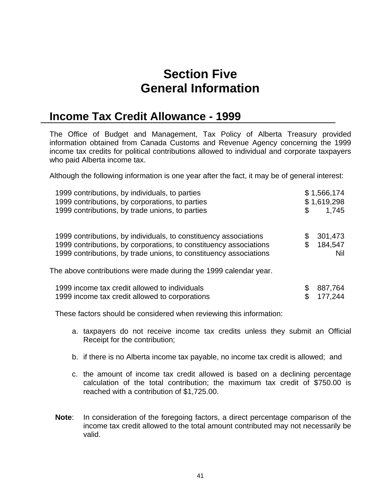## **Section Five General Information**

## **Income Tax Credit Allowance - 1999**

The Office of Budget and Management, Tax Policy of Alberta Treasury provided information obtained from Canada Customs and Revenue Agency concerning the 1999 income tax credits for political contributions allowed to individual and corporate taxpayers who paid Alberta income tax.

Although the following information is one year after the fact, it may be of general interest:

| 1999 contributions, by individuals, to parties<br>1999 contributions, by corporations, to parties<br>1999 contributions, by trade unions, to parties                                                       | \$<br>\$1,566,174<br>\$1,619,298<br>1,745 |
|------------------------------------------------------------------------------------------------------------------------------------------------------------------------------------------------------------|-------------------------------------------|
| 1999 contributions, by individuals, to constituency associations<br>1999 contributions, by corporations, to constituency associations<br>1999 contributions, by trade unions, to constituency associations | \$<br>301,473<br>184,547<br>Nil           |
| The above contributions were made during the 1999 calendar year.                                                                                                                                           |                                           |
| 1999 income tax credit allowed to individuals<br>1999 income tax credit allowed to corporations                                                                                                            | 887,764<br>177.244                        |

These factors should be considered when reviewing this information:

- a. taxpayers do not receive income tax credits unless they submit an Official Receipt for the contribution;
- b. if there is no Alberta income tax payable, no income tax credit is allowed; and
- c. the amount of income tax credit allowed is based on a declining percentage calculation of the total contribution; the maximum tax credit of \$750.00 is reached with a contribution of \$1,725.00.
- **Note**: In consideration of the foregoing factors, a direct percentage comparison of the income tax credit allowed to the total amount contributed may not necessarily be valid.